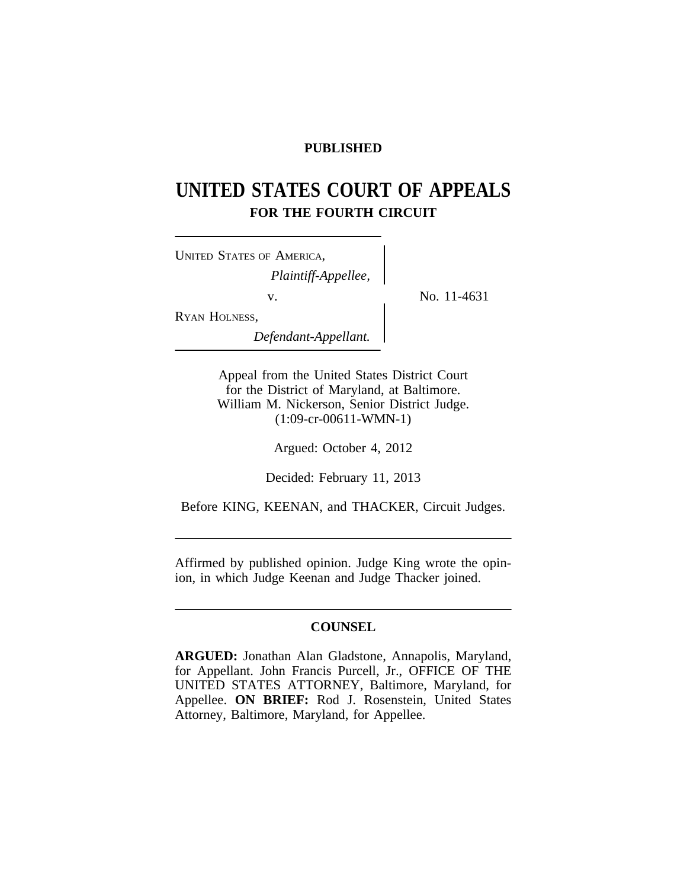## **PUBLISHED**

# **UNITED STATES COURT OF APPEALS FOR THE FOURTH CIRCUIT**

| <b>UNITED STATES OF AMERICA,</b> |  |
|----------------------------------|--|
| Plaintiff-Appellee,              |  |
| V                                |  |
| RYAN HOLNESS,                    |  |
| Defendant-Annellant              |  |

No. 11-4631

*Defendant-Appellant.*

Appeal from the United States District Court for the District of Maryland, at Baltimore. William M. Nickerson, Senior District Judge. (1:09-cr-00611-WMN-1)

Argued: October 4, 2012

Decided: February 11, 2013

Before KING, KEENAN, and THACKER, Circuit Judges.

Affirmed by published opinion. Judge King wrote the opinion, in which Judge Keenan and Judge Thacker joined.

## **COUNSEL**

**ARGUED:** Jonathan Alan Gladstone, Annapolis, Maryland, for Appellant. John Francis Purcell, Jr., OFFICE OF THE UNITED STATES ATTORNEY, Baltimore, Maryland, for Appellee. **ON BRIEF:** Rod J. Rosenstein, United States Attorney, Baltimore, Maryland, for Appellee.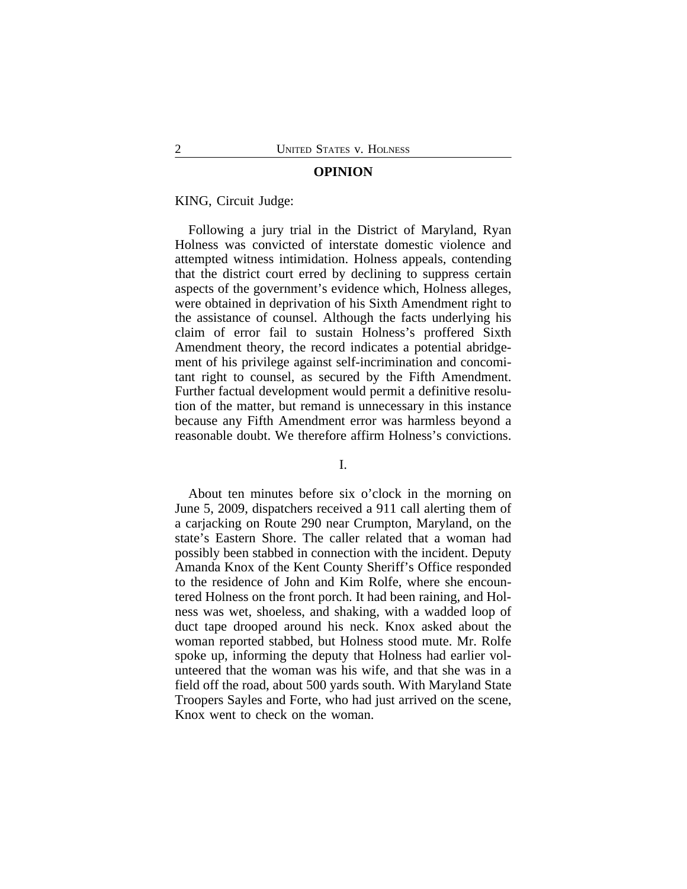#### **OPINION**

#### KING, Circuit Judge:

Following a jury trial in the District of Maryland, Ryan Holness was convicted of interstate domestic violence and attempted witness intimidation. Holness appeals, contending that the district court erred by declining to suppress certain aspects of the government's evidence which, Holness alleges, were obtained in deprivation of his Sixth Amendment right to the assistance of counsel. Although the facts underlying his claim of error fail to sustain Holness's proffered Sixth Amendment theory, the record indicates a potential abridgement of his privilege against self-incrimination and concomitant right to counsel, as secured by the Fifth Amendment. Further factual development would permit a definitive resolution of the matter, but remand is unnecessary in this instance because any Fifth Amendment error was harmless beyond a reasonable doubt. We therefore affirm Holness's convictions.

#### I.

About ten minutes before six o'clock in the morning on June 5, 2009, dispatchers received a 911 call alerting them of a carjacking on Route 290 near Crumpton, Maryland, on the state's Eastern Shore. The caller related that a woman had possibly been stabbed in connection with the incident. Deputy Amanda Knox of the Kent County Sheriff's Office responded to the residence of John and Kim Rolfe, where she encountered Holness on the front porch. It had been raining, and Holness was wet, shoeless, and shaking, with a wadded loop of duct tape drooped around his neck. Knox asked about the woman reported stabbed, but Holness stood mute. Mr. Rolfe spoke up, informing the deputy that Holness had earlier volunteered that the woman was his wife, and that she was in a field off the road, about 500 yards south. With Maryland State Troopers Sayles and Forte, who had just arrived on the scene, Knox went to check on the woman.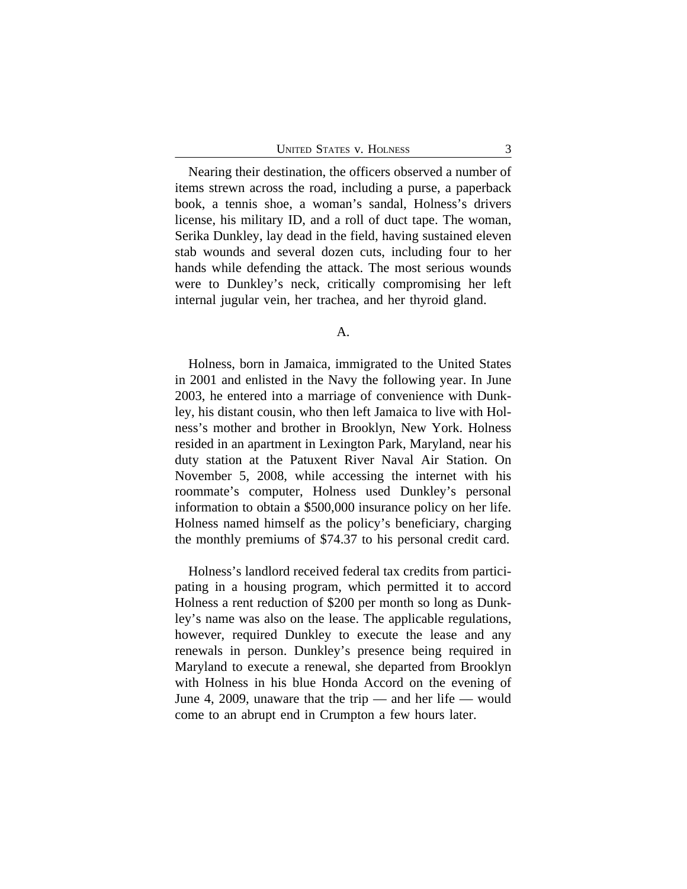Nearing their destination, the officers observed a number of items strewn across the road, including a purse, a paperback book, a tennis shoe, a woman's sandal, Holness's drivers license, his military ID, and a roll of duct tape. The woman, Serika Dunkley, lay dead in the field, having sustained eleven stab wounds and several dozen cuts, including four to her hands while defending the attack. The most serious wounds were to Dunkley's neck, critically compromising her left internal jugular vein, her trachea, and her thyroid gland.

#### A.

Holness, born in Jamaica, immigrated to the United States in 2001 and enlisted in the Navy the following year. In June 2003, he entered into a marriage of convenience with Dunkley, his distant cousin, who then left Jamaica to live with Holness's mother and brother in Brooklyn, New York. Holness resided in an apartment in Lexington Park, Maryland, near his duty station at the Patuxent River Naval Air Station. On November 5, 2008, while accessing the internet with his roommate's computer, Holness used Dunkley's personal information to obtain a \$500,000 insurance policy on her life. Holness named himself as the policy's beneficiary, charging the monthly premiums of \$74.37 to his personal credit card.

Holness's landlord received federal tax credits from participating in a housing program, which permitted it to accord Holness a rent reduction of \$200 per month so long as Dunkley's name was also on the lease. The applicable regulations, however, required Dunkley to execute the lease and any renewals in person. Dunkley's presence being required in Maryland to execute a renewal, she departed from Brooklyn with Holness in his blue Honda Accord on the evening of June 4, 2009, unaware that the trip — and her life — would come to an abrupt end in Crumpton a few hours later.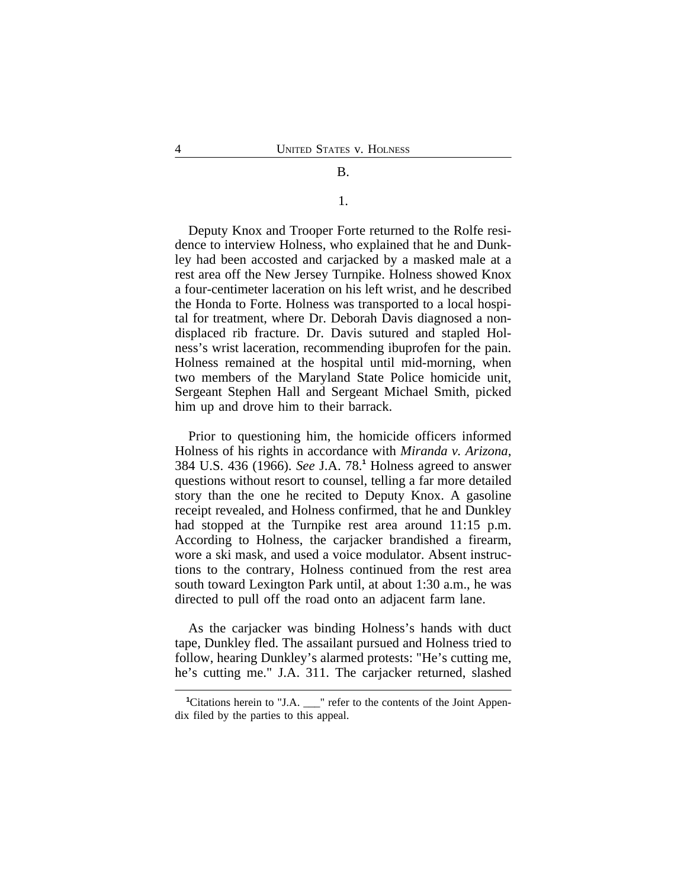## B.

1.

Deputy Knox and Trooper Forte returned to the Rolfe residence to interview Holness, who explained that he and Dunkley had been accosted and carjacked by a masked male at a rest area off the New Jersey Turnpike. Holness showed Knox a four-centimeter laceration on his left wrist, and he described the Honda to Forte. Holness was transported to a local hospital for treatment, where Dr. Deborah Davis diagnosed a nondisplaced rib fracture. Dr. Davis sutured and stapled Holness's wrist laceration, recommending ibuprofen for the pain. Holness remained at the hospital until mid-morning, when two members of the Maryland State Police homicide unit, Sergeant Stephen Hall and Sergeant Michael Smith, picked him up and drove him to their barrack.

Prior to questioning him, the homicide officers informed Holness of his rights in accordance with *Miranda v. Arizona*, 384 U.S. 436 (1966). *See* J.A. 78.**<sup>1</sup>** Holness agreed to answer questions without resort to counsel, telling a far more detailed story than the one he recited to Deputy Knox. A gasoline receipt revealed, and Holness confirmed, that he and Dunkley had stopped at the Turnpike rest area around 11:15 p.m. According to Holness, the carjacker brandished a firearm, wore a ski mask, and used a voice modulator. Absent instructions to the contrary, Holness continued from the rest area south toward Lexington Park until, at about 1:30 a.m., he was directed to pull off the road onto an adjacent farm lane.

As the carjacker was binding Holness's hands with duct tape, Dunkley fled. The assailant pursued and Holness tried to follow, hearing Dunkley's alarmed protests: "He's cutting me, he's cutting me." J.A. 311. The carjacker returned, slashed

<sup>&</sup>lt;sup>1</sup>Citations herein to "J.A. <sup>"</sup> refer to the contents of the Joint Appendix filed by the parties to this appeal.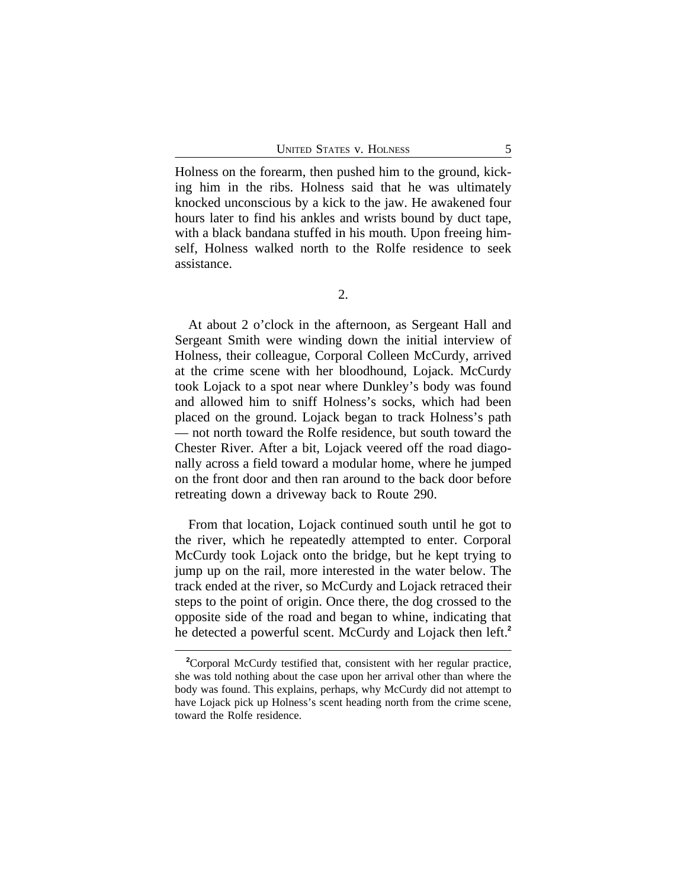Holness on the forearm, then pushed him to the ground, kicking him in the ribs. Holness said that he was ultimately knocked unconscious by a kick to the jaw. He awakened four hours later to find his ankles and wrists bound by duct tape, with a black bandana stuffed in his mouth. Upon freeing himself, Holness walked north to the Rolfe residence to seek assistance.

At about 2 o'clock in the afternoon, as Sergeant Hall and Sergeant Smith were winding down the initial interview of Holness, their colleague, Corporal Colleen McCurdy, arrived at the crime scene with her bloodhound, Lojack. McCurdy took Lojack to a spot near where Dunkley's body was found and allowed him to sniff Holness's socks, which had been placed on the ground. Lojack began to track Holness's path — not north toward the Rolfe residence, but south toward the Chester River. After a bit, Lojack veered off the road diagonally across a field toward a modular home, where he jumped on the front door and then ran around to the back door before retreating down a driveway back to Route 290.

From that location, Lojack continued south until he got to the river, which he repeatedly attempted to enter. Corporal McCurdy took Lojack onto the bridge, but he kept trying to jump up on the rail, more interested in the water below. The track ended at the river, so McCurdy and Lojack retraced their steps to the point of origin. Once there, the dog crossed to the opposite side of the road and began to whine, indicating that he detected a powerful scent. McCurdy and Lojack then left.**<sup>2</sup>**

**<sup>2</sup>**Corporal McCurdy testified that, consistent with her regular practice, she was told nothing about the case upon her arrival other than where the body was found. This explains, perhaps, why McCurdy did not attempt to have Lojack pick up Holness's scent heading north from the crime scene, toward the Rolfe residence.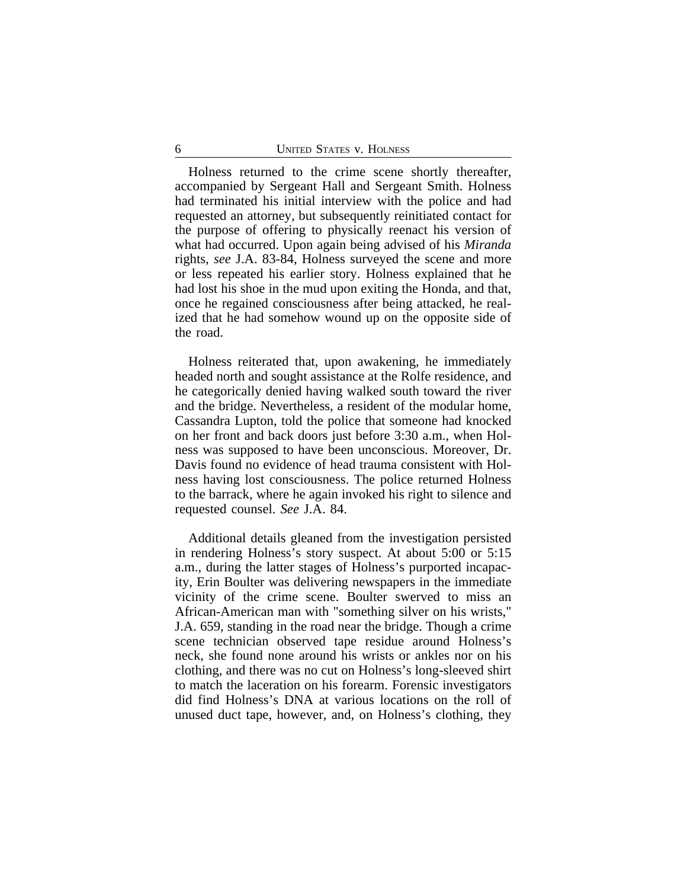Holness returned to the crime scene shortly thereafter, accompanied by Sergeant Hall and Sergeant Smith. Holness had terminated his initial interview with the police and had requested an attorney, but subsequently reinitiated contact for the purpose of offering to physically reenact his version of what had occurred. Upon again being advised of his *Miranda* rights, *see* J.A. 83-84, Holness surveyed the scene and more or less repeated his earlier story. Holness explained that he had lost his shoe in the mud upon exiting the Honda, and that, once he regained consciousness after being attacked, he realized that he had somehow wound up on the opposite side of the road.

Holness reiterated that, upon awakening, he immediately headed north and sought assistance at the Rolfe residence, and he categorically denied having walked south toward the river and the bridge. Nevertheless, a resident of the modular home, Cassandra Lupton, told the police that someone had knocked on her front and back doors just before 3:30 a.m., when Holness was supposed to have been unconscious. Moreover, Dr. Davis found no evidence of head trauma consistent with Holness having lost consciousness. The police returned Holness to the barrack, where he again invoked his right to silence and requested counsel. *See* J.A. 84.

Additional details gleaned from the investigation persisted in rendering Holness's story suspect. At about 5:00 or 5:15 a.m., during the latter stages of Holness's purported incapacity, Erin Boulter was delivering newspapers in the immediate vicinity of the crime scene. Boulter swerved to miss an African-American man with "something silver on his wrists," J.A. 659, standing in the road near the bridge. Though a crime scene technician observed tape residue around Holness's neck, she found none around his wrists or ankles nor on his clothing, and there was no cut on Holness's long-sleeved shirt to match the laceration on his forearm. Forensic investigators did find Holness's DNA at various locations on the roll of unused duct tape, however, and, on Holness's clothing, they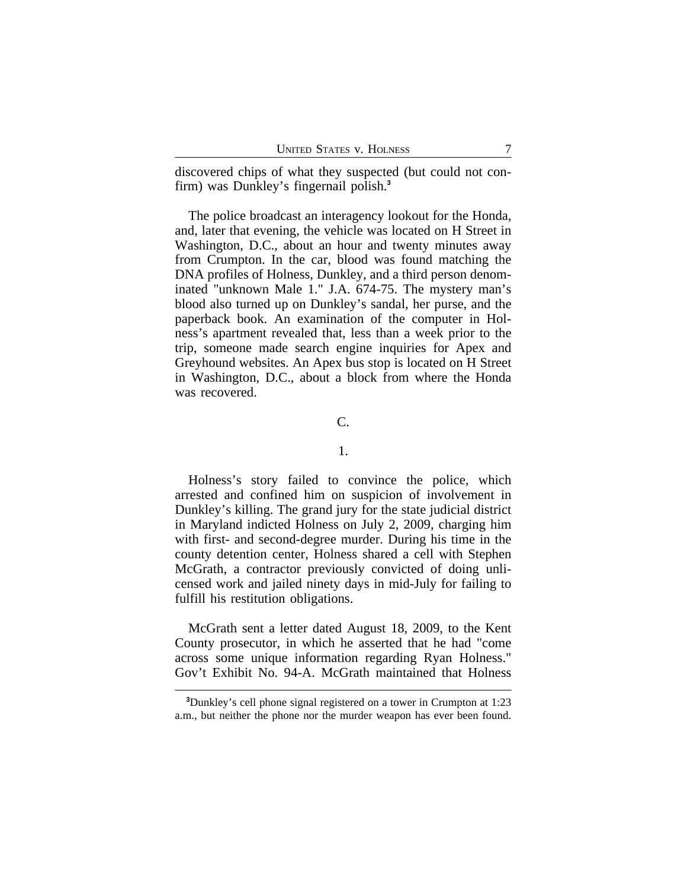discovered chips of what they suspected (but could not confirm) was Dunkley's fingernail polish.**<sup>3</sup>**

The police broadcast an interagency lookout for the Honda, and, later that evening, the vehicle was located on H Street in Washington, D.C., about an hour and twenty minutes away from Crumpton. In the car, blood was found matching the DNA profiles of Holness, Dunkley, and a third person denominated "unknown Male 1." J.A. 674-75. The mystery man's blood also turned up on Dunkley's sandal, her purse, and the paperback book. An examination of the computer in Holness's apartment revealed that, less than a week prior to the trip, someone made search engine inquiries for Apex and Greyhound websites. An Apex bus stop is located on H Street in Washington, D.C., about a block from where the Honda was recovered.

## C.

#### 1.

Holness's story failed to convince the police, which arrested and confined him on suspicion of involvement in Dunkley's killing. The grand jury for the state judicial district in Maryland indicted Holness on July 2, 2009, charging him with first- and second-degree murder. During his time in the county detention center, Holness shared a cell with Stephen McGrath, a contractor previously convicted of doing unlicensed work and jailed ninety days in mid-July for failing to fulfill his restitution obligations.

McGrath sent a letter dated August 18, 2009, to the Kent County prosecutor, in which he asserted that he had "come across some unique information regarding Ryan Holness." Gov't Exhibit No. 94-A. McGrath maintained that Holness

**<sup>3</sup>**Dunkley's cell phone signal registered on a tower in Crumpton at 1:23 a.m., but neither the phone nor the murder weapon has ever been found.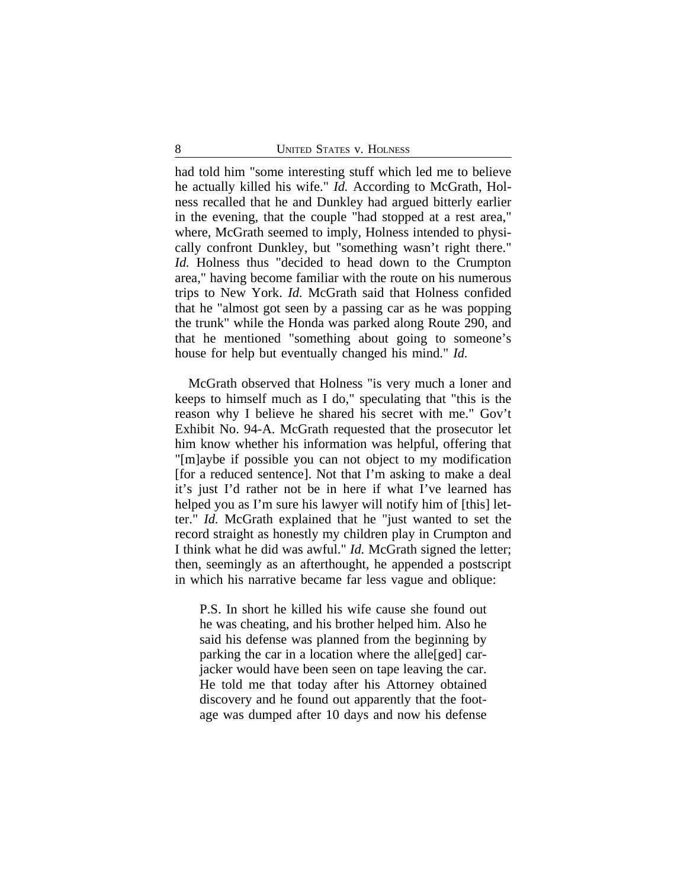had told him "some interesting stuff which led me to believe he actually killed his wife." *Id.* According to McGrath, Holness recalled that he and Dunkley had argued bitterly earlier in the evening, that the couple "had stopped at a rest area," where, McGrath seemed to imply, Holness intended to physically confront Dunkley, but "something wasn't right there." *Id.* Holness thus "decided to head down to the Crumpton area," having become familiar with the route on his numerous trips to New York. *Id.* McGrath said that Holness confided that he "almost got seen by a passing car as he was popping the trunk" while the Honda was parked along Route 290, and that he mentioned "something about going to someone's house for help but eventually changed his mind." *Id.*

McGrath observed that Holness "is very much a loner and keeps to himself much as I do," speculating that "this is the reason why I believe he shared his secret with me." Gov't Exhibit No. 94-A. McGrath requested that the prosecutor let him know whether his information was helpful, offering that "[m]aybe if possible you can not object to my modification [for a reduced sentence]. Not that I'm asking to make a deal it's just I'd rather not be in here if what I've learned has helped you as I'm sure his lawyer will notify him of [this] letter." *Id.* McGrath explained that he "just wanted to set the record straight as honestly my children play in Crumpton and I think what he did was awful." *Id.* McGrath signed the letter; then, seemingly as an afterthought, he appended a postscript in which his narrative became far less vague and oblique:

P.S. In short he killed his wife cause she found out he was cheating, and his brother helped him. Also he said his defense was planned from the beginning by parking the car in a location where the alle[ged] carjacker would have been seen on tape leaving the car. He told me that today after his Attorney obtained discovery and he found out apparently that the footage was dumped after 10 days and now his defense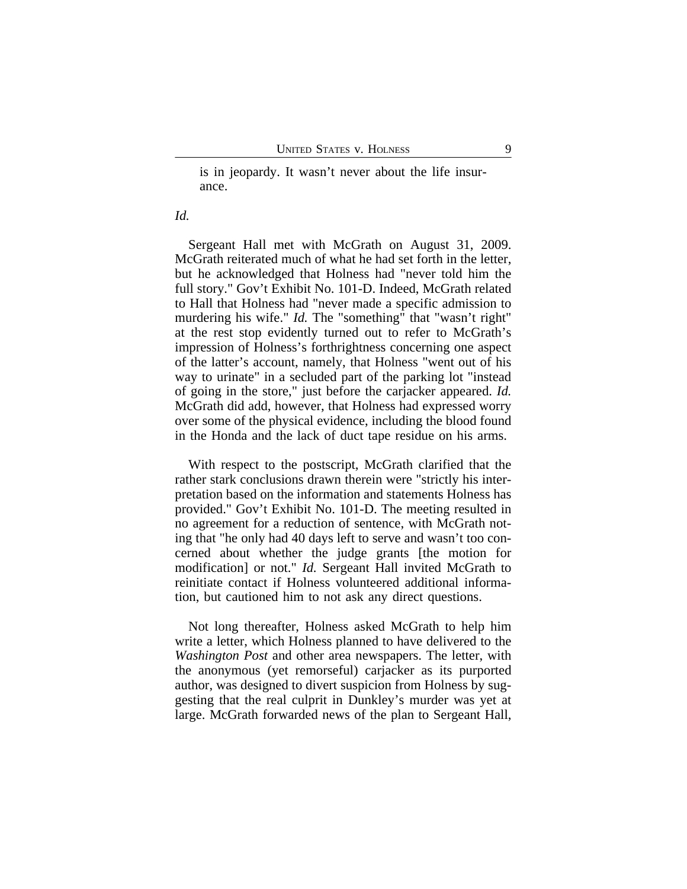is in jeopardy. It wasn't never about the life insurance.

#### *Id.*

Sergeant Hall met with McGrath on August 31, 2009. McGrath reiterated much of what he had set forth in the letter, but he acknowledged that Holness had "never told him the full story." Gov't Exhibit No. 101-D. Indeed, McGrath related to Hall that Holness had "never made a specific admission to murdering his wife." *Id*. The "something" that "wasn't right" at the rest stop evidently turned out to refer to McGrath's impression of Holness's forthrightness concerning one aspect of the latter's account, namely, that Holness "went out of his way to urinate" in a secluded part of the parking lot "instead of going in the store," just before the carjacker appeared. *Id.* McGrath did add, however, that Holness had expressed worry over some of the physical evidence, including the blood found in the Honda and the lack of duct tape residue on his arms.

With respect to the postscript, McGrath clarified that the rather stark conclusions drawn therein were "strictly his interpretation based on the information and statements Holness has provided." Gov't Exhibit No. 101-D. The meeting resulted in no agreement for a reduction of sentence, with McGrath noting that "he only had 40 days left to serve and wasn't too concerned about whether the judge grants [the motion for modification] or not." *Id.* Sergeant Hall invited McGrath to reinitiate contact if Holness volunteered additional information, but cautioned him to not ask any direct questions.

Not long thereafter, Holness asked McGrath to help him write a letter, which Holness planned to have delivered to the *Washington Post* and other area newspapers. The letter, with the anonymous (yet remorseful) carjacker as its purported author, was designed to divert suspicion from Holness by suggesting that the real culprit in Dunkley's murder was yet at large. McGrath forwarded news of the plan to Sergeant Hall,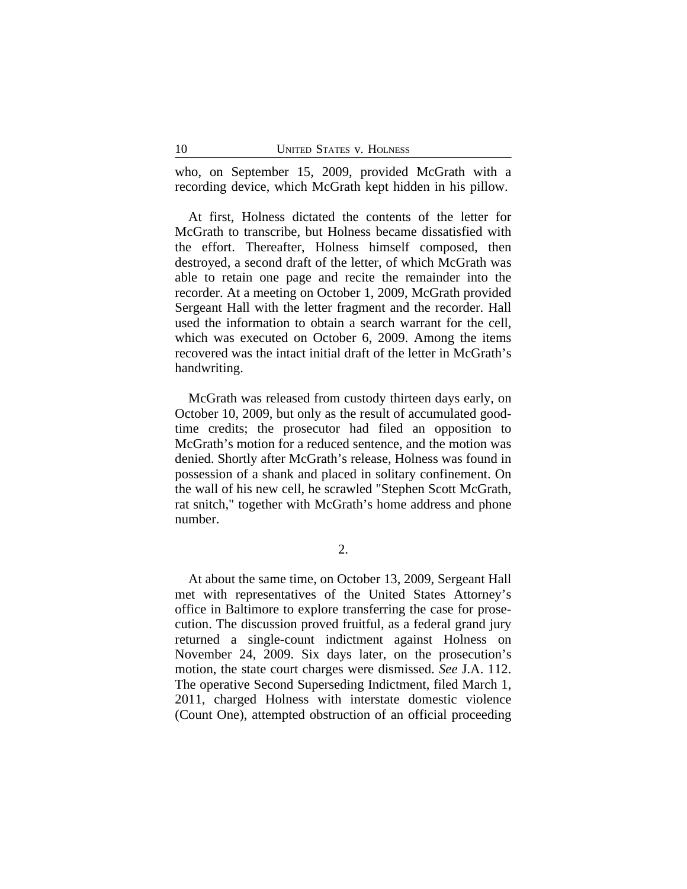who, on September 15, 2009, provided McGrath with a recording device, which McGrath kept hidden in his pillow.

At first, Holness dictated the contents of the letter for McGrath to transcribe, but Holness became dissatisfied with the effort. Thereafter, Holness himself composed, then destroyed, a second draft of the letter, of which McGrath was able to retain one page and recite the remainder into the recorder. At a meeting on October 1, 2009, McGrath provided Sergeant Hall with the letter fragment and the recorder. Hall used the information to obtain a search warrant for the cell, which was executed on October 6, 2009. Among the items recovered was the intact initial draft of the letter in McGrath's handwriting.

McGrath was released from custody thirteen days early, on October 10, 2009, but only as the result of accumulated goodtime credits; the prosecutor had filed an opposition to McGrath's motion for a reduced sentence, and the motion was denied. Shortly after McGrath's release, Holness was found in possession of a shank and placed in solitary confinement. On the wall of his new cell, he scrawled "Stephen Scott McGrath, rat snitch," together with McGrath's home address and phone number.

2.

At about the same time, on October 13, 2009, Sergeant Hall met with representatives of the United States Attorney's office in Baltimore to explore transferring the case for prosecution. The discussion proved fruitful, as a federal grand jury returned a single-count indictment against Holness on November 24, 2009. Six days later, on the prosecution's motion, the state court charges were dismissed. *See* J.A. 112. The operative Second Superseding Indictment, filed March 1, 2011, charged Holness with interstate domestic violence (Count One), attempted obstruction of an official proceeding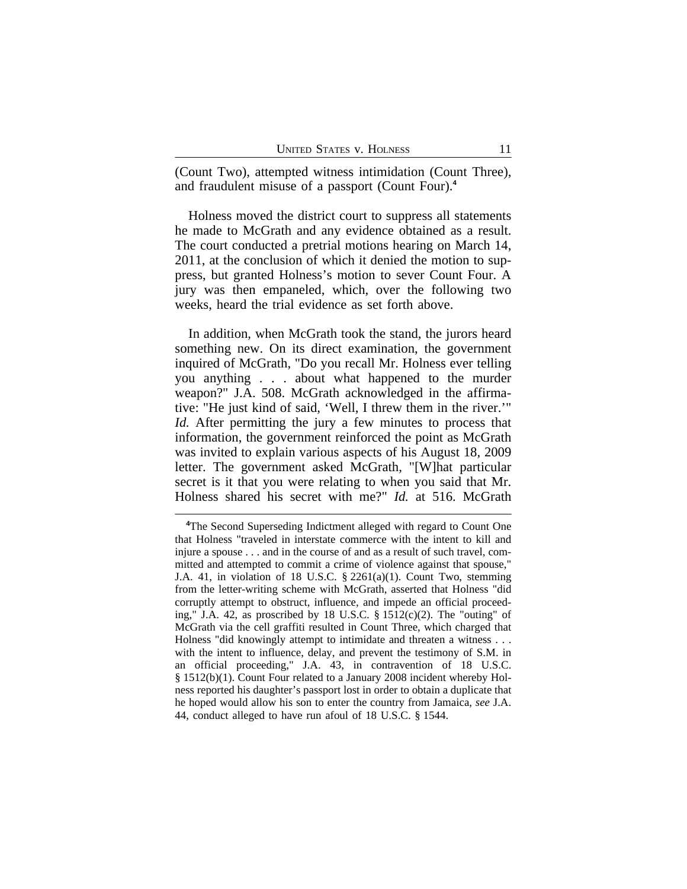(Count Two), attempted witness intimidation (Count Three), and fraudulent misuse of a passport (Count Four).**<sup>4</sup>**

Holness moved the district court to suppress all statements he made to McGrath and any evidence obtained as a result. The court conducted a pretrial motions hearing on March 14, 2011, at the conclusion of which it denied the motion to suppress, but granted Holness's motion to sever Count Four. A jury was then empaneled, which, over the following two weeks, heard the trial evidence as set forth above.

In addition, when McGrath took the stand, the jurors heard something new. On its direct examination, the government inquired of McGrath, "Do you recall Mr. Holness ever telling you anything . . . about what happened to the murder weapon?" J.A. 508. McGrath acknowledged in the affirmative: "He just kind of said, 'Well, I threw them in the river.'" *Id.* After permitting the jury a few minutes to process that information, the government reinforced the point as McGrath was invited to explain various aspects of his August 18, 2009 letter. The government asked McGrath, "[W]hat particular secret is it that you were relating to when you said that Mr. Holness shared his secret with me?" *Id.* at 516. McGrath

**<sup>4</sup>**The Second Superseding Indictment alleged with regard to Count One that Holness "traveled in interstate commerce with the intent to kill and injure a spouse . . . and in the course of and as a result of such travel, committed and attempted to commit a crime of violence against that spouse," J.A. 41, in violation of 18 U.S.C.  $\S 2261(a)(1)$ . Count Two, stemming from the letter-writing scheme with McGrath, asserted that Holness "did corruptly attempt to obstruct, influence, and impede an official proceeding," J.A. 42, as proscribed by 18 U.S.C.  $\S$  1512(c)(2). The "outing" of McGrath via the cell graffiti resulted in Count Three, which charged that Holness "did knowingly attempt to intimidate and threaten a witness . . . with the intent to influence, delay, and prevent the testimony of S.M. in an official proceeding," J.A. 43, in contravention of 18 U.S.C. § 1512(b)(1). Count Four related to a January 2008 incident whereby Holness reported his daughter's passport lost in order to obtain a duplicate that he hoped would allow his son to enter the country from Jamaica, *see* J.A. 44, conduct alleged to have run afoul of 18 U.S.C. § 1544.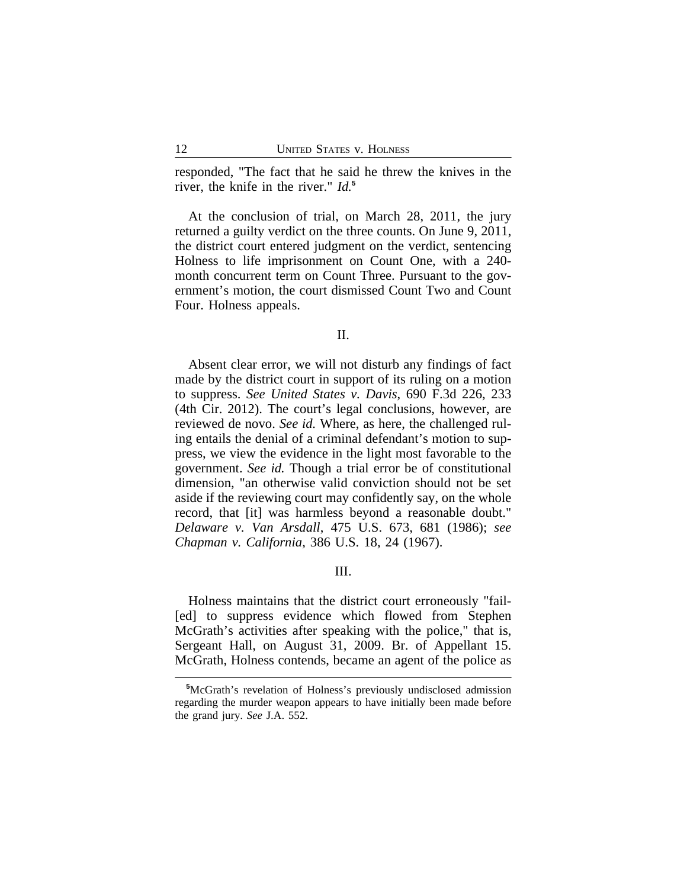responded, "The fact that he said he threw the knives in the river, the knife in the river." *Id.***<sup>5</sup>**

At the conclusion of trial, on March 28, 2011, the jury returned a guilty verdict on the three counts. On June 9, 2011, the district court entered judgment on the verdict, sentencing Holness to life imprisonment on Count One, with a 240 month concurrent term on Count Three. Pursuant to the government's motion, the court dismissed Count Two and Count Four. Holness appeals.

II.

Absent clear error, we will not disturb any findings of fact made by the district court in support of its ruling on a motion to suppress. *See United States v. Davis*, 690 F.3d 226, 233 (4th Cir. 2012). The court's legal conclusions, however, are reviewed de novo. *See id.* Where, as here, the challenged ruling entails the denial of a criminal defendant's motion to suppress, we view the evidence in the light most favorable to the government. *See id.* Though a trial error be of constitutional dimension, "an otherwise valid conviction should not be set aside if the reviewing court may confidently say, on the whole record, that [it] was harmless beyond a reasonable doubt." *Delaware v. Van Arsdall*, 475 U.S. 673, 681 (1986); *see Chapman v. California*, 386 U.S. 18, 24 (1967).

III.

Holness maintains that the district court erroneously "fail- [ed] to suppress evidence which flowed from Stephen McGrath's activities after speaking with the police," that is, Sergeant Hall, on August 31, 2009. Br. of Appellant 15. McGrath, Holness contends, became an agent of the police as

**<sup>5</sup>**McGrath's revelation of Holness's previously undisclosed admission regarding the murder weapon appears to have initially been made before the grand jury. *See* J.A. 552.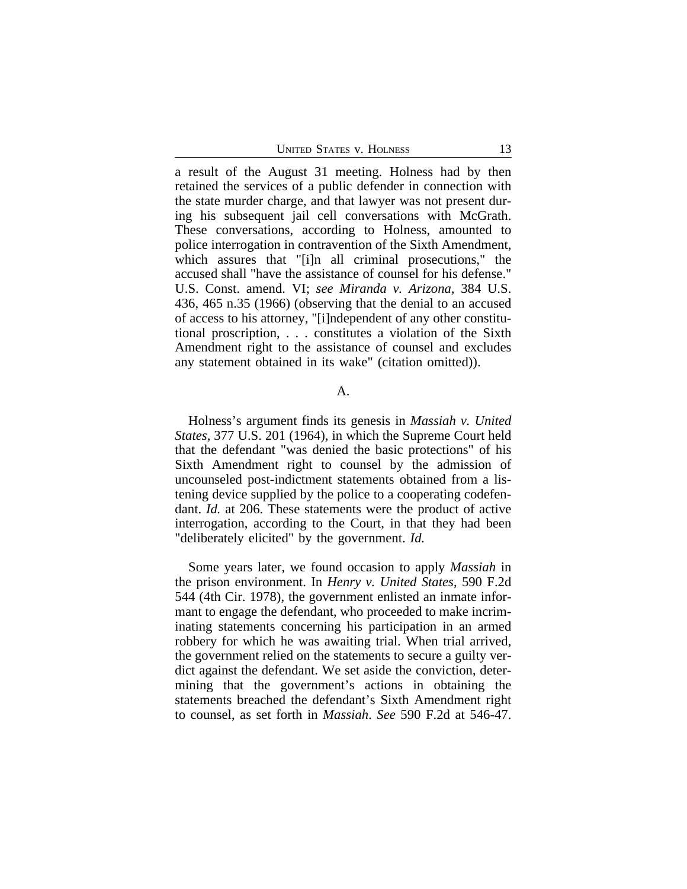a result of the August 31 meeting. Holness had by then retained the services of a public defender in connection with the state murder charge, and that lawyer was not present during his subsequent jail cell conversations with McGrath. These conversations, according to Holness, amounted to police interrogation in contravention of the Sixth Amendment, which assures that "[i]n all criminal prosecutions," the accused shall "have the assistance of counsel for his defense." U.S. Const. amend. VI; *see Miranda v. Arizona*, 384 U.S. 436, 465 n.35 (1966) (observing that the denial to an accused of access to his attorney, "[i]ndependent of any other constitutional proscription, . . . constitutes a violation of the Sixth Amendment right to the assistance of counsel and excludes any statement obtained in its wake" (citation omitted)).

#### A.

Holness's argument finds its genesis in *Massiah v. United States*, 377 U.S. 201 (1964), in which the Supreme Court held that the defendant "was denied the basic protections" of his Sixth Amendment right to counsel by the admission of uncounseled post-indictment statements obtained from a listening device supplied by the police to a cooperating codefendant. *Id.* at 206. These statements were the product of active interrogation, according to the Court, in that they had been "deliberately elicited" by the government. *Id.*

Some years later, we found occasion to apply *Massiah* in the prison environment. In *Henry v. United States*, 590 F.2d 544 (4th Cir. 1978), the government enlisted an inmate informant to engage the defendant, who proceeded to make incriminating statements concerning his participation in an armed robbery for which he was awaiting trial. When trial arrived, the government relied on the statements to secure a guilty verdict against the defendant. We set aside the conviction, determining that the government's actions in obtaining the statements breached the defendant's Sixth Amendment right to counsel, as set forth in *Massiah*. *See* 590 F.2d at 546-47.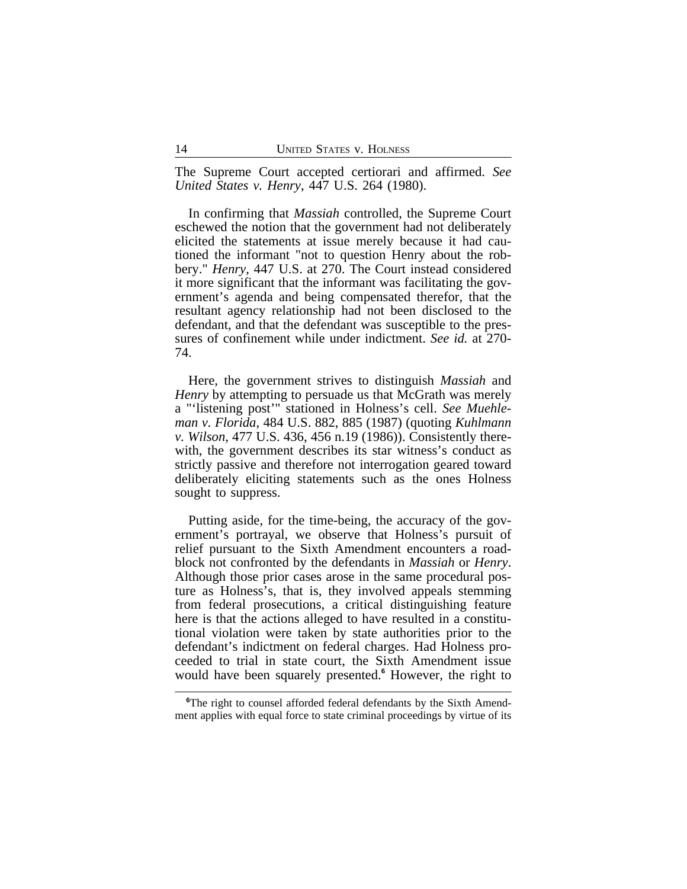The Supreme Court accepted certiorari and affirmed. *See United States v. Henry*, 447 U.S. 264 (1980).

In confirming that *Massiah* controlled, the Supreme Court eschewed the notion that the government had not deliberately elicited the statements at issue merely because it had cautioned the informant "not to question Henry about the robbery." *Henry*, 447 U.S. at 270. The Court instead considered it more significant that the informant was facilitating the government's agenda and being compensated therefor, that the resultant agency relationship had not been disclosed to the defendant, and that the defendant was susceptible to the pressures of confinement while under indictment. *See id.* at 270- 74.

Here, the government strives to distinguish *Massiah* and *Henry* by attempting to persuade us that McGrath was merely a "'listening post'" stationed in Holness's cell. *See Muehleman v. Florida*, 484 U.S. 882, 885 (1987) (quoting *Kuhlmann v. Wilson*, 477 U.S. 436, 456 n.19 (1986)). Consistently therewith, the government describes its star witness's conduct as strictly passive and therefore not interrogation geared toward deliberately eliciting statements such as the ones Holness sought to suppress.

Putting aside, for the time-being, the accuracy of the government's portrayal, we observe that Holness's pursuit of relief pursuant to the Sixth Amendment encounters a roadblock not confronted by the defendants in *Massiah* or *Henry*. Although those prior cases arose in the same procedural posture as Holness's, that is, they involved appeals stemming from federal prosecutions, a critical distinguishing feature here is that the actions alleged to have resulted in a constitutional violation were taken by state authorities prior to the defendant's indictment on federal charges. Had Holness proceeded to trial in state court, the Sixth Amendment issue would have been squarely presented.**<sup>6</sup>** However, the right to

**<sup>6</sup>**The right to counsel afforded federal defendants by the Sixth Amendment applies with equal force to state criminal proceedings by virtue of its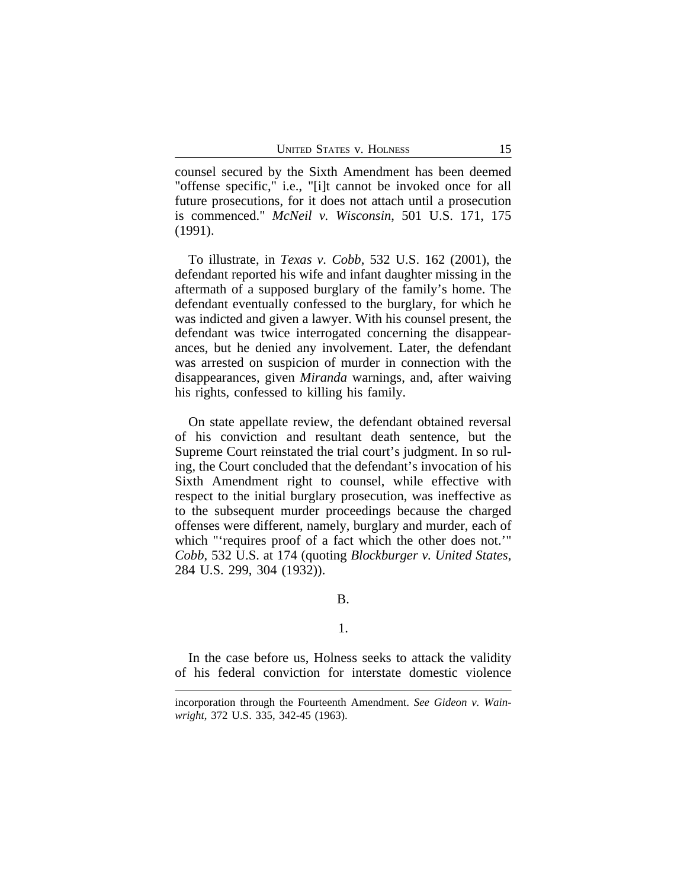counsel secured by the Sixth Amendment has been deemed "offense specific," i.e., "[i]t cannot be invoked once for all future prosecutions, for it does not attach until a prosecution is commenced." *McNeil v. Wisconsin*, 501 U.S. 171, 175 (1991).

To illustrate, in *Texas v. Cobb*, 532 U.S. 162 (2001), the defendant reported his wife and infant daughter missing in the aftermath of a supposed burglary of the family's home. The defendant eventually confessed to the burglary, for which he was indicted and given a lawyer. With his counsel present, the defendant was twice interrogated concerning the disappearances, but he denied any involvement. Later, the defendant was arrested on suspicion of murder in connection with the disappearances, given *Miranda* warnings, and, after waiving his rights, confessed to killing his family.

On state appellate review, the defendant obtained reversal of his conviction and resultant death sentence, but the Supreme Court reinstated the trial court's judgment. In so ruling, the Court concluded that the defendant's invocation of his Sixth Amendment right to counsel, while effective with respect to the initial burglary prosecution, was ineffective as to the subsequent murder proceedings because the charged offenses were different, namely, burglary and murder, each of which "'requires proof of a fact which the other does not.'" *Cobb*, 532 U.S. at 174 (quoting *Blockburger v. United States*, 284 U.S. 299, 304 (1932)).

## B.

#### 1.

In the case before us, Holness seeks to attack the validity of his federal conviction for interstate domestic violence

incorporation through the Fourteenth Amendment. *See Gideon v. Wainwright*, 372 U.S. 335, 342-45 (1963).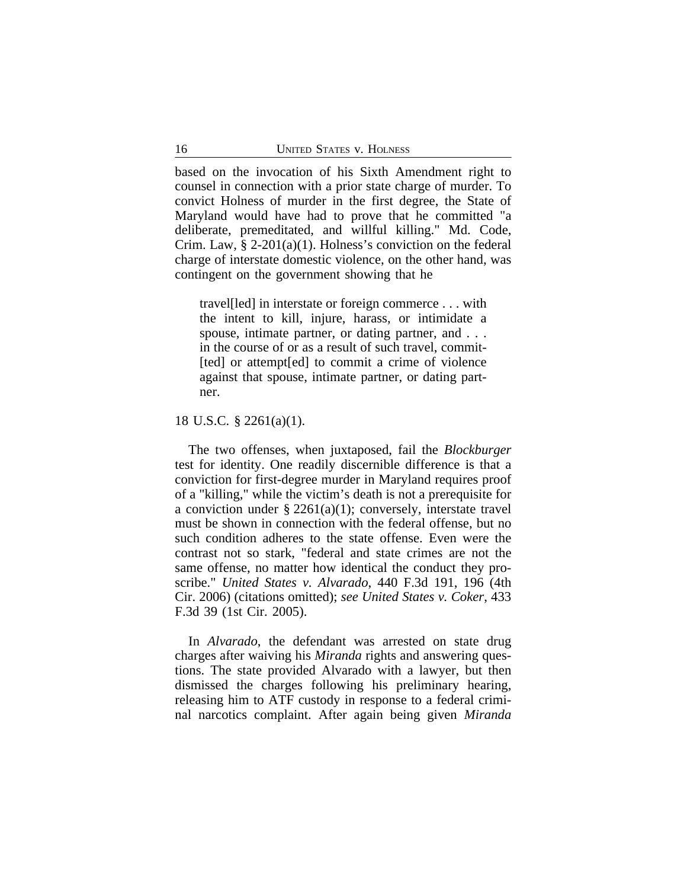based on the invocation of his Sixth Amendment right to counsel in connection with a prior state charge of murder. To convict Holness of murder in the first degree, the State of Maryland would have had to prove that he committed "a deliberate, premeditated, and willful killing." Md. Code, Crim. Law, § 2-201(a)(1). Holness's conviction on the federal charge of interstate domestic violence, on the other hand, was contingent on the government showing that he

travel[led] in interstate or foreign commerce . . . with the intent to kill, injure, harass, or intimidate a spouse, intimate partner, or dating partner, and . . . in the course of or as a result of such travel, commit- [ted] or attempt [ed] to commit a crime of violence against that spouse, intimate partner, or dating partner.

18 U.S.C. § 2261(a)(1).

The two offenses, when juxtaposed, fail the *Blockburger* test for identity. One readily discernible difference is that a conviction for first-degree murder in Maryland requires proof of a "killing," while the victim's death is not a prerequisite for a conviction under § 2261(a)(1); conversely, interstate travel must be shown in connection with the federal offense, but no such condition adheres to the state offense. Even were the contrast not so stark, "federal and state crimes are not the same offense, no matter how identical the conduct they proscribe." *United States v. Alvarado*, 440 F.3d 191, 196 (4th Cir. 2006) (citations omitted); *see United States v. Coker*, 433 F.3d 39 (1st Cir. 2005).

In *Alvarado*, the defendant was arrested on state drug charges after waiving his *Miranda* rights and answering questions. The state provided Alvarado with a lawyer, but then dismissed the charges following his preliminary hearing, releasing him to ATF custody in response to a federal criminal narcotics complaint. After again being given *Miranda*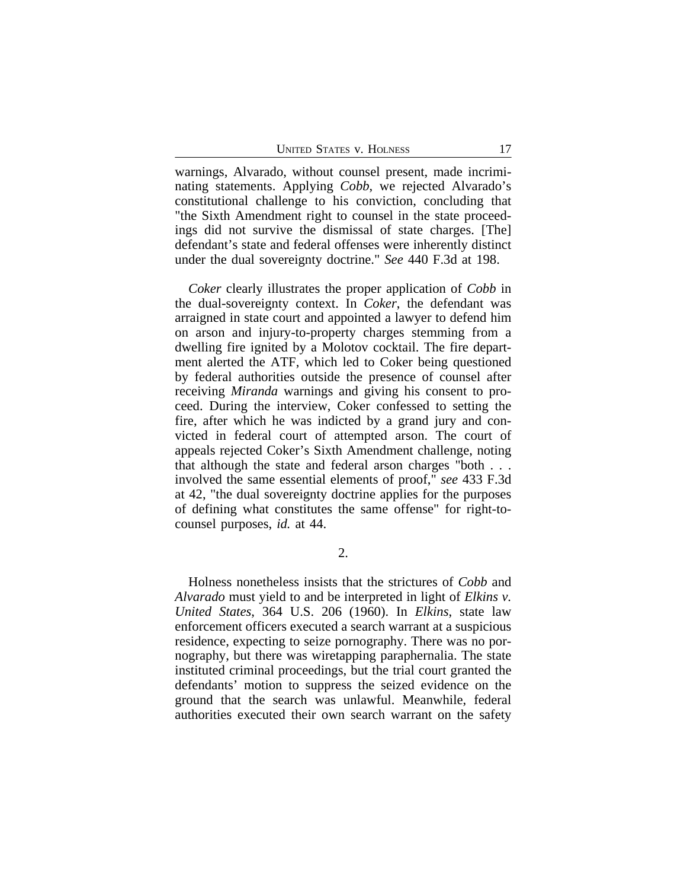warnings, Alvarado, without counsel present, made incriminating statements. Applying *Cobb*, we rejected Alvarado's constitutional challenge to his conviction, concluding that "the Sixth Amendment right to counsel in the state proceedings did not survive the dismissal of state charges. [The] defendant's state and federal offenses were inherently distinct under the dual sovereignty doctrine." *See* 440 F.3d at 198.

*Coker* clearly illustrates the proper application of *Cobb* in the dual-sovereignty context. In *Coker*, the defendant was arraigned in state court and appointed a lawyer to defend him on arson and injury-to-property charges stemming from a dwelling fire ignited by a Molotov cocktail. The fire department alerted the ATF, which led to Coker being questioned by federal authorities outside the presence of counsel after receiving *Miranda* warnings and giving his consent to proceed. During the interview, Coker confessed to setting the fire, after which he was indicted by a grand jury and convicted in federal court of attempted arson. The court of appeals rejected Coker's Sixth Amendment challenge, noting that although the state and federal arson charges "both . . . involved the same essential elements of proof," *see* 433 F.3d at 42, "the dual sovereignty doctrine applies for the purposes of defining what constitutes the same offense" for right-tocounsel purposes, *id.* at 44.

2.

Holness nonetheless insists that the strictures of *Cobb* and *Alvarado* must yield to and be interpreted in light of *Elkins v. United States*, 364 U.S. 206 (1960). In *Elkins*, state law enforcement officers executed a search warrant at a suspicious residence, expecting to seize pornography. There was no pornography, but there was wiretapping paraphernalia. The state instituted criminal proceedings, but the trial court granted the defendants' motion to suppress the seized evidence on the ground that the search was unlawful. Meanwhile, federal authorities executed their own search warrant on the safety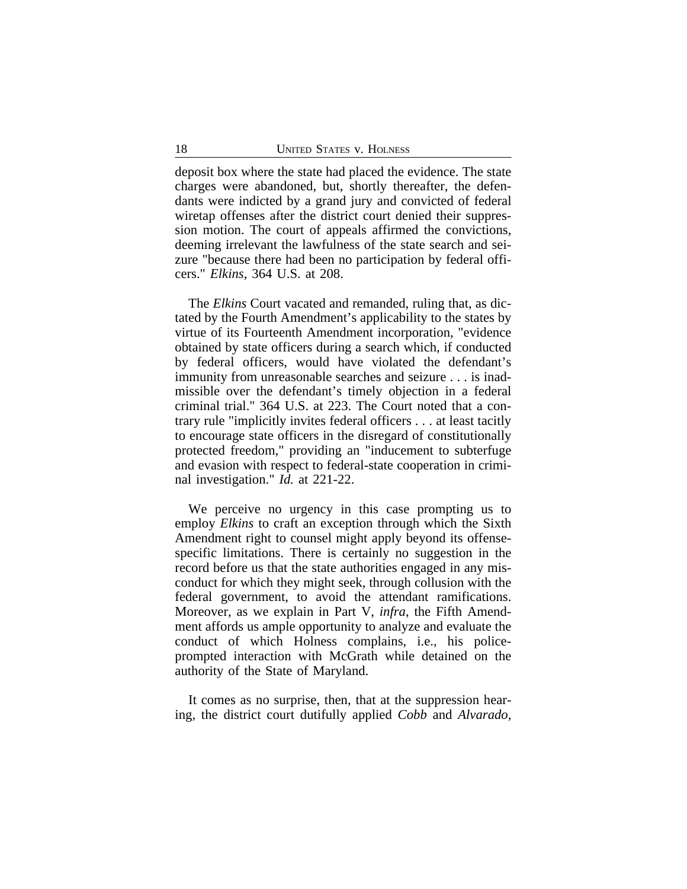deposit box where the state had placed the evidence. The state charges were abandoned, but, shortly thereafter, the defendants were indicted by a grand jury and convicted of federal wiretap offenses after the district court denied their suppression motion. The court of appeals affirmed the convictions, deeming irrelevant the lawfulness of the state search and seizure "because there had been no participation by federal officers." *Elkins*, 364 U.S. at 208.

The *Elkins* Court vacated and remanded, ruling that, as dictated by the Fourth Amendment's applicability to the states by virtue of its Fourteenth Amendment incorporation, "evidence obtained by state officers during a search which, if conducted by federal officers, would have violated the defendant's immunity from unreasonable searches and seizure . . . is inadmissible over the defendant's timely objection in a federal criminal trial." 364 U.S. at 223. The Court noted that a contrary rule "implicitly invites federal officers . . . at least tacitly to encourage state officers in the disregard of constitutionally protected freedom," providing an "inducement to subterfuge and evasion with respect to federal-state cooperation in criminal investigation." *Id.* at 221-22.

We perceive no urgency in this case prompting us to employ *Elkins* to craft an exception through which the Sixth Amendment right to counsel might apply beyond its offensespecific limitations. There is certainly no suggestion in the record before us that the state authorities engaged in any misconduct for which they might seek, through collusion with the federal government, to avoid the attendant ramifications. Moreover, as we explain in Part V, *infra*, the Fifth Amendment affords us ample opportunity to analyze and evaluate the conduct of which Holness complains, i.e., his policeprompted interaction with McGrath while detained on the authority of the State of Maryland.

It comes as no surprise, then, that at the suppression hearing, the district court dutifully applied *Cobb* and *Alvarado*,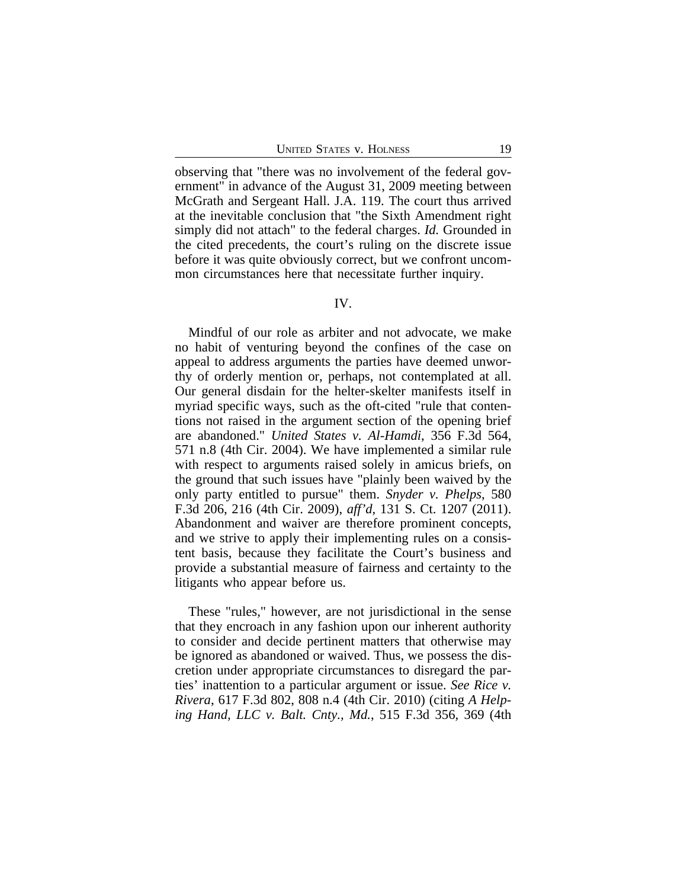observing that "there was no involvement of the federal government" in advance of the August 31, 2009 meeting between McGrath and Sergeant Hall. J.A. 119. The court thus arrived at the inevitable conclusion that "the Sixth Amendment right simply did not attach" to the federal charges. *Id.* Grounded in the cited precedents, the court's ruling on the discrete issue before it was quite obviously correct, but we confront uncommon circumstances here that necessitate further inquiry.

#### IV.

Mindful of our role as arbiter and not advocate, we make no habit of venturing beyond the confines of the case on appeal to address arguments the parties have deemed unworthy of orderly mention or, perhaps, not contemplated at all. Our general disdain for the helter-skelter manifests itself in myriad specific ways, such as the oft-cited "rule that contentions not raised in the argument section of the opening brief are abandoned." *United States v. Al-Hamdi*, 356 F.3d 564, 571 n.8 (4th Cir. 2004). We have implemented a similar rule with respect to arguments raised solely in amicus briefs, on the ground that such issues have "plainly been waived by the only party entitled to pursue" them. *Snyder v. Phelps*, 580 F.3d 206, 216 (4th Cir. 2009), *aff'd*, 131 S. Ct. 1207 (2011). Abandonment and waiver are therefore prominent concepts, and we strive to apply their implementing rules on a consistent basis, because they facilitate the Court's business and provide a substantial measure of fairness and certainty to the litigants who appear before us.

These "rules," however, are not jurisdictional in the sense that they encroach in any fashion upon our inherent authority to consider and decide pertinent matters that otherwise may be ignored as abandoned or waived. Thus, we possess the discretion under appropriate circumstances to disregard the parties' inattention to a particular argument or issue. *See Rice v. Rivera*, 617 F.3d 802, 808 n.4 (4th Cir. 2010) (citing *A Helping Hand, LLC v. Balt. Cnty., Md.*, 515 F.3d 356, 369 (4th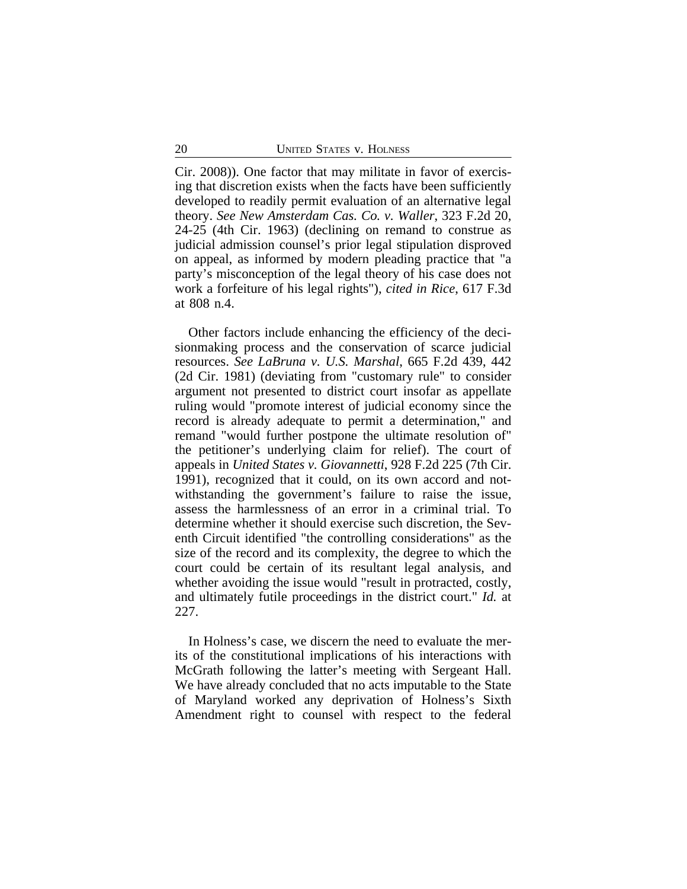Cir. 2008)). One factor that may militate in favor of exercising that discretion exists when the facts have been sufficiently developed to readily permit evaluation of an alternative legal theory. *See New Amsterdam Cas. Co. v. Waller*, 323 F.2d 20, 24-25 (4th Cir. 1963) (declining on remand to construe as judicial admission counsel's prior legal stipulation disproved on appeal, as informed by modern pleading practice that "a party's misconception of the legal theory of his case does not work a forfeiture of his legal rights"), *cited in Rice*, 617 F.3d at 808 n.4.

Other factors include enhancing the efficiency of the decisionmaking process and the conservation of scarce judicial resources. *See LaBruna v. U.S. Marshal*, 665 F.2d 439, 442 (2d Cir. 1981) (deviating from "customary rule" to consider argument not presented to district court insofar as appellate ruling would "promote interest of judicial economy since the record is already adequate to permit a determination," and remand "would further postpone the ultimate resolution of" the petitioner's underlying claim for relief). The court of appeals in *United States v. Giovannetti*, 928 F.2d 225 (7th Cir. 1991), recognized that it could, on its own accord and notwithstanding the government's failure to raise the issue, assess the harmlessness of an error in a criminal trial. To determine whether it should exercise such discretion, the Seventh Circuit identified "the controlling considerations" as the size of the record and its complexity, the degree to which the court could be certain of its resultant legal analysis, and whether avoiding the issue would "result in protracted, costly, and ultimately futile proceedings in the district court." *Id.* at 227.

In Holness's case, we discern the need to evaluate the merits of the constitutional implications of his interactions with McGrath following the latter's meeting with Sergeant Hall. We have already concluded that no acts imputable to the State of Maryland worked any deprivation of Holness's Sixth Amendment right to counsel with respect to the federal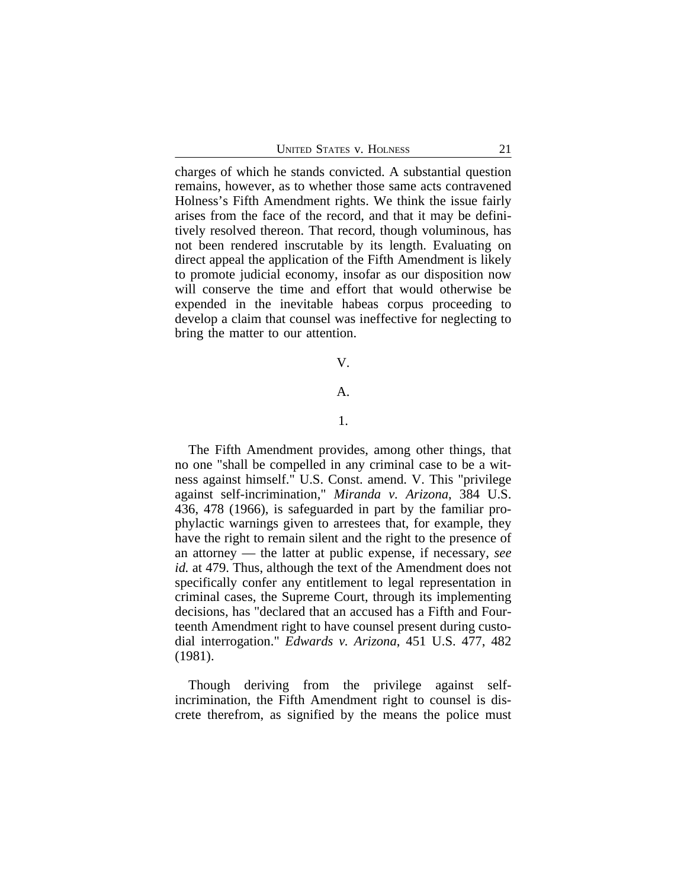charges of which he stands convicted. A substantial question remains, however, as to whether those same acts contravened Holness's Fifth Amendment rights. We think the issue fairly arises from the face of the record, and that it may be definitively resolved thereon. That record, though voluminous, has not been rendered inscrutable by its length. Evaluating on direct appeal the application of the Fifth Amendment is likely to promote judicial economy, insofar as our disposition now will conserve the time and effort that would otherwise be expended in the inevitable habeas corpus proceeding to develop a claim that counsel was ineffective for neglecting to bring the matter to our attention.

#### V.

## A.

#### 1.

The Fifth Amendment provides, among other things, that no one "shall be compelled in any criminal case to be a witness against himself." U.S. Const. amend. V. This "privilege against self-incrimination," *Miranda v. Arizona*, 384 U.S. 436, 478 (1966), is safeguarded in part by the familiar prophylactic warnings given to arrestees that, for example, they have the right to remain silent and the right to the presence of an attorney — the latter at public expense, if necessary, *see id.* at 479. Thus, although the text of the Amendment does not specifically confer any entitlement to legal representation in criminal cases, the Supreme Court, through its implementing decisions, has "declared that an accused has a Fifth and Fourteenth Amendment right to have counsel present during custodial interrogation." *Edwards v. Arizona*, 451 U.S. 477, 482 (1981).

Though deriving from the privilege against selfincrimination, the Fifth Amendment right to counsel is discrete therefrom, as signified by the means the police must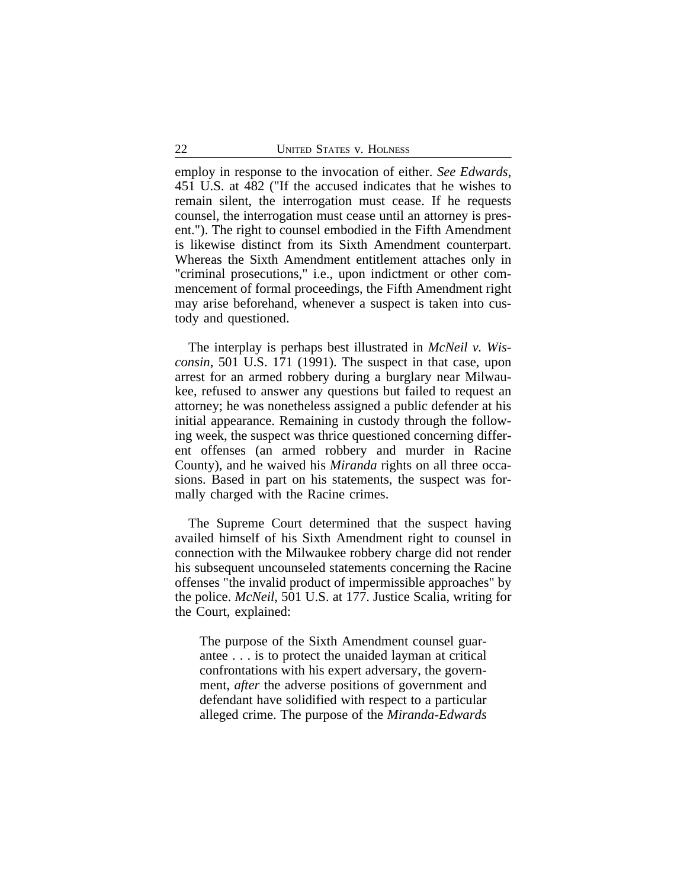employ in response to the invocation of either. *See Edwards*, 451 U.S. at 482 ("If the accused indicates that he wishes to remain silent, the interrogation must cease. If he requests counsel, the interrogation must cease until an attorney is present."). The right to counsel embodied in the Fifth Amendment is likewise distinct from its Sixth Amendment counterpart. Whereas the Sixth Amendment entitlement attaches only in "criminal prosecutions," i.e., upon indictment or other commencement of formal proceedings, the Fifth Amendment right may arise beforehand, whenever a suspect is taken into custody and questioned.

The interplay is perhaps best illustrated in *McNeil v. Wisconsin*, 501 U.S. 171 (1991). The suspect in that case, upon arrest for an armed robbery during a burglary near Milwaukee, refused to answer any questions but failed to request an attorney; he was nonetheless assigned a public defender at his initial appearance. Remaining in custody through the following week, the suspect was thrice questioned concerning different offenses (an armed robbery and murder in Racine County), and he waived his *Miranda* rights on all three occasions. Based in part on his statements, the suspect was formally charged with the Racine crimes.

The Supreme Court determined that the suspect having availed himself of his Sixth Amendment right to counsel in connection with the Milwaukee robbery charge did not render his subsequent uncounseled statements concerning the Racine offenses "the invalid product of impermissible approaches" by the police. *McNeil*, 501 U.S. at 177. Justice Scalia, writing for the Court, explained:

The purpose of the Sixth Amendment counsel guarantee . . . is to protect the unaided layman at critical confrontations with his expert adversary, the government, *after* the adverse positions of government and defendant have solidified with respect to a particular alleged crime. The purpose of the *Miranda*-*Edwards*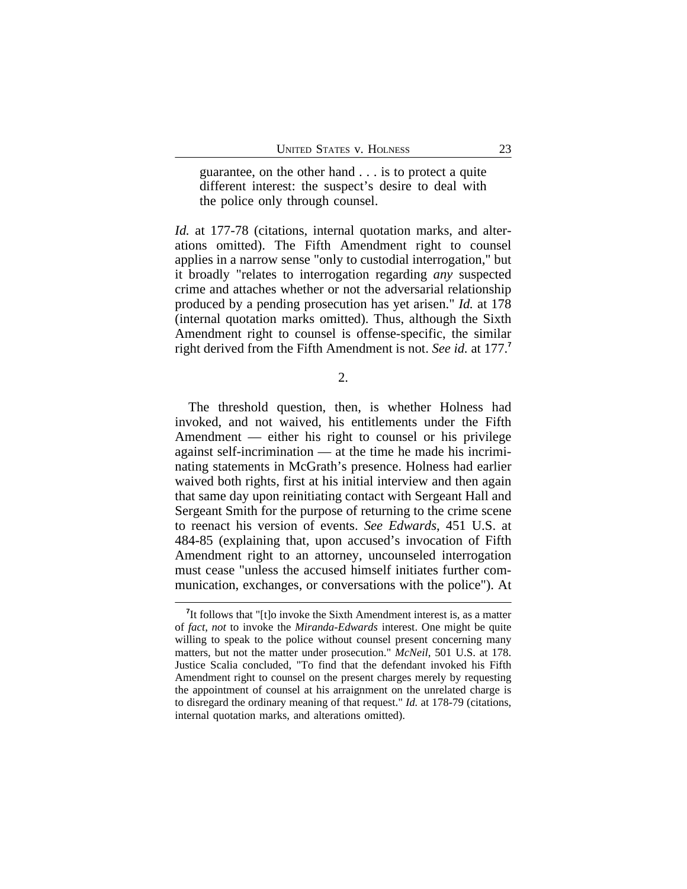guarantee, on the other hand . . . is to protect a quite different interest: the suspect's desire to deal with the police only through counsel.

*Id.* at 177-78 (citations, internal quotation marks, and alterations omitted). The Fifth Amendment right to counsel applies in a narrow sense "only to custodial interrogation," but it broadly "relates to interrogation regarding *any* suspected crime and attaches whether or not the adversarial relationship produced by a pending prosecution has yet arisen." *Id.* at 178 (internal quotation marks omitted). Thus, although the Sixth Amendment right to counsel is offense-specific, the similar right derived from the Fifth Amendment is not. *See id.* at 177.**<sup>7</sup>**

2.

The threshold question, then, is whether Holness had invoked, and not waived, his entitlements under the Fifth Amendment — either his right to counsel or his privilege against self-incrimination — at the time he made his incriminating statements in McGrath's presence. Holness had earlier waived both rights, first at his initial interview and then again that same day upon reinitiating contact with Sergeant Hall and Sergeant Smith for the purpose of returning to the crime scene to reenact his version of events. *See Edwards*, 451 U.S. at 484-85 (explaining that, upon accused's invocation of Fifth Amendment right to an attorney, uncounseled interrogation must cease "unless the accused himself initiates further communication, exchanges, or conversations with the police"). At

<sup>&</sup>lt;sup>7</sup>It follows that "[t]o invoke the Sixth Amendment interest is, as a matter of *fact*, *not* to invoke the *Miranda*-*Edwards* interest. One might be quite willing to speak to the police without counsel present concerning many matters, but not the matter under prosecution." *McNeil*, 501 U.S. at 178. Justice Scalia concluded, "To find that the defendant invoked his Fifth Amendment right to counsel on the present charges merely by requesting the appointment of counsel at his arraignment on the unrelated charge is to disregard the ordinary meaning of that request." *Id.* at 178-79 (citations, internal quotation marks, and alterations omitted).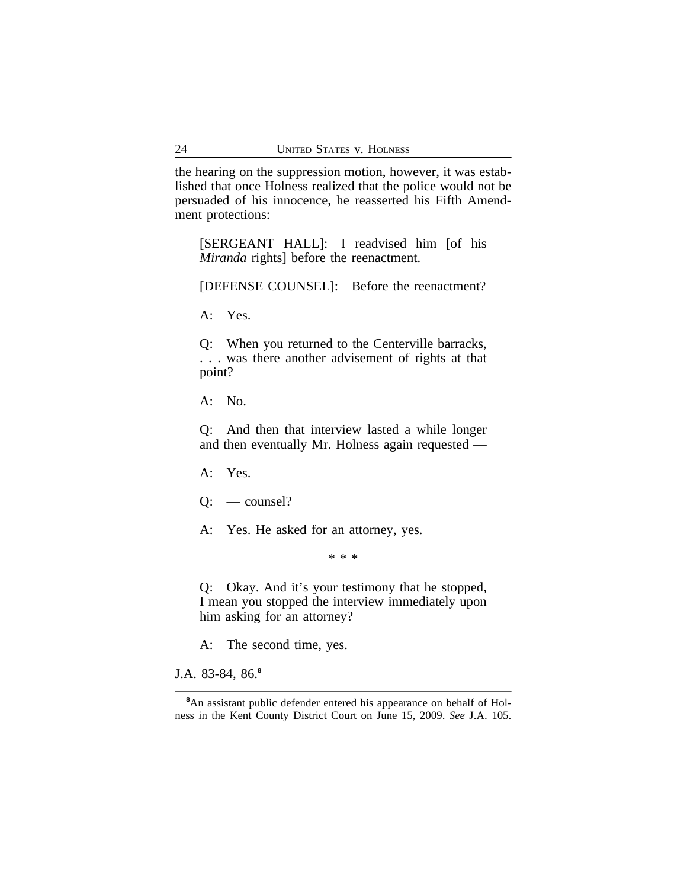the hearing on the suppression motion, however, it was established that once Holness realized that the police would not be persuaded of his innocence, he reasserted his Fifth Amendment protections:

[SERGEANT HALL]: I readvised him [of his *Miranda* rights] before the reenactment.

[DEFENSE COUNSEL]: Before the reenactment?

A: Yes.

Q: When you returned to the Centerville barracks, . . . was there another advisement of rights at that point?

A: No.

Q: And then that interview lasted a while longer and then eventually Mr. Holness again requested —

A: Yes.

Q: — counsel?

A: Yes. He asked for an attorney, yes.

\* \* \*

Q: Okay. And it's your testimony that he stopped, I mean you stopped the interview immediately upon him asking for an attorney?

A: The second time, yes.

J.A. 83-84, 86.**<sup>8</sup>**

**<sup>8</sup>**An assistant public defender entered his appearance on behalf of Holness in the Kent County District Court on June 15, 2009. *See* J.A. 105.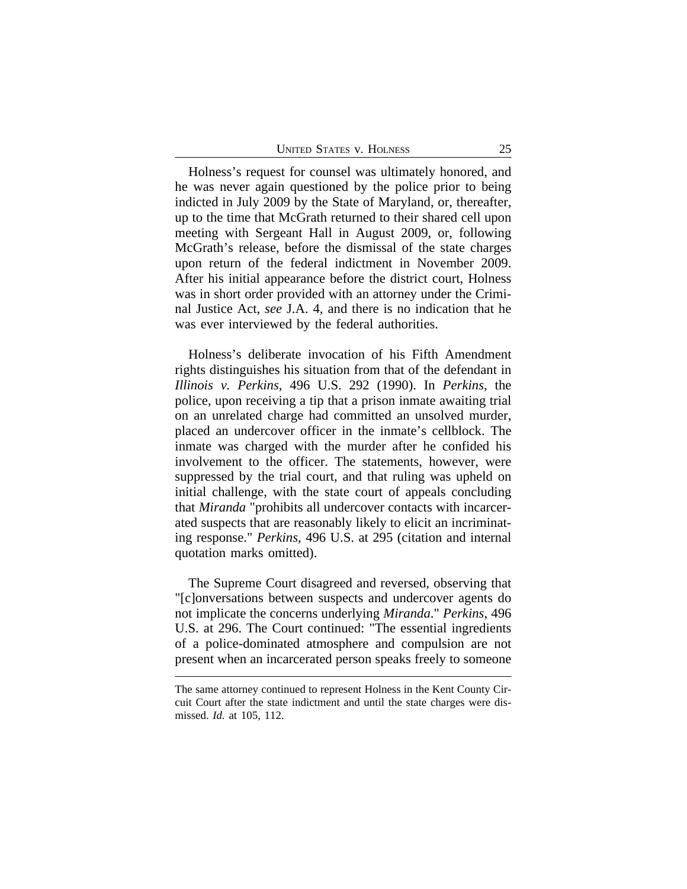| <b>UNITED STATES V. HOLNESS</b> |  |
|---------------------------------|--|
|---------------------------------|--|

Holness's request for counsel was ultimately honored, and he was never again questioned by the police prior to being indicted in July 2009 by the State of Maryland, or, thereafter, up to the time that McGrath returned to their shared cell upon meeting with Sergeant Hall in August 2009, or, following McGrath's release, before the dismissal of the state charges upon return of the federal indictment in November 2009. After his initial appearance before the district court, Holness was in short order provided with an attorney under the Criminal Justice Act, *see* J.A. 4, and there is no indication that he was ever interviewed by the federal authorities.

Holness's deliberate invocation of his Fifth Amendment rights distinguishes his situation from that of the defendant in *Illinois v. Perkins*, 496 U.S. 292 (1990). In *Perkins*, the police, upon receiving a tip that a prison inmate awaiting trial on an unrelated charge had committed an unsolved murder, placed an undercover officer in the inmate's cellblock. The inmate was charged with the murder after he confided his involvement to the officer. The statements, however, were suppressed by the trial court, and that ruling was upheld on initial challenge, with the state court of appeals concluding that *Miranda* "prohibits all undercover contacts with incarcerated suspects that are reasonably likely to elicit an incriminating response." *Perkins*, 496 U.S. at 295 (citation and internal quotation marks omitted).

The Supreme Court disagreed and reversed, observing that "[c]onversations between suspects and undercover agents do not implicate the concerns underlying *Miranda*." *Perkins*, 496 U.S. at 296. The Court continued: "The essential ingredients of a police-dominated atmosphere and compulsion are not present when an incarcerated person speaks freely to someone

The same attorney continued to represent Holness in the Kent County Circuit Court after the state indictment and until the state charges were dismissed. *Id.* at 105, 112.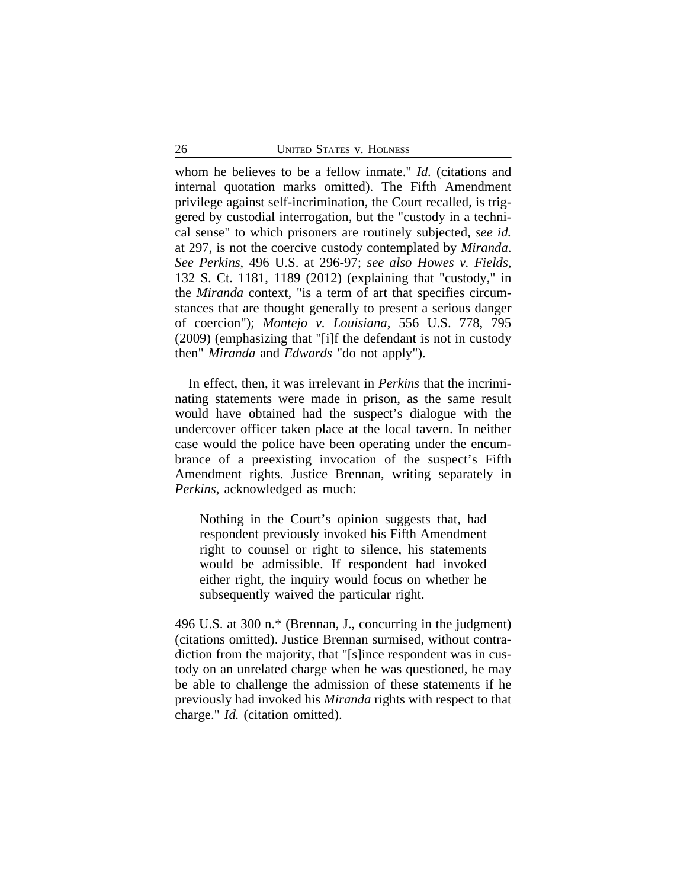whom he believes to be a fellow inmate." *Id.* (citations and internal quotation marks omitted). The Fifth Amendment privilege against self-incrimination, the Court recalled, is triggered by custodial interrogation, but the "custody in a technical sense" to which prisoners are routinely subjected, *see id.* at 297, is not the coercive custody contemplated by *Miranda*. *See Perkins*, 496 U.S. at 296-97; *see also Howes v. Fields*, 132 S. Ct. 1181, 1189 (2012) (explaining that "custody," in the *Miranda* context, "is a term of art that specifies circumstances that are thought generally to present a serious danger of coercion"); *Montejo v. Louisiana*, 556 U.S. 778, 795 (2009) (emphasizing that "[i]f the defendant is not in custody then" *Miranda* and *Edwards* "do not apply").

In effect, then, it was irrelevant in *Perkins* that the incriminating statements were made in prison, as the same result would have obtained had the suspect's dialogue with the undercover officer taken place at the local tavern. In neither case would the police have been operating under the encumbrance of a preexisting invocation of the suspect's Fifth Amendment rights. Justice Brennan, writing separately in *Perkins*, acknowledged as much:

Nothing in the Court's opinion suggests that, had respondent previously invoked his Fifth Amendment right to counsel or right to silence, his statements would be admissible. If respondent had invoked either right, the inquiry would focus on whether he subsequently waived the particular right.

496 U.S. at 300 n.\* (Brennan, J., concurring in the judgment) (citations omitted). Justice Brennan surmised, without contradiction from the majority, that "[s]ince respondent was in custody on an unrelated charge when he was questioned, he may be able to challenge the admission of these statements if he previously had invoked his *Miranda* rights with respect to that charge." *Id.* (citation omitted).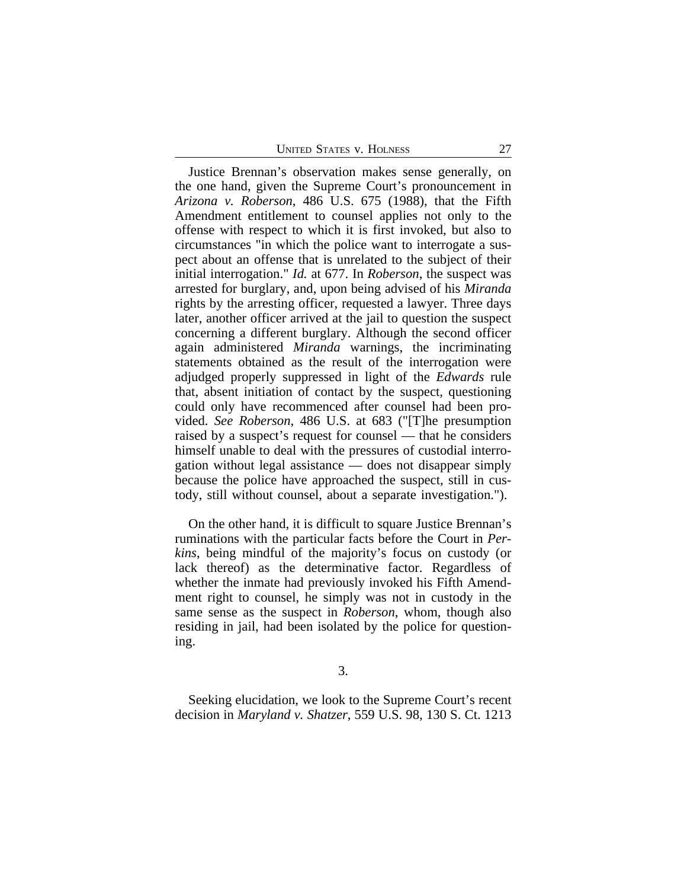| <b>UNITED STATES V. HOLNESS</b> |  |
|---------------------------------|--|

Justice Brennan's observation makes sense generally, on the one hand, given the Supreme Court's pronouncement in *Arizona v. Roberson*, 486 U.S. 675 (1988), that the Fifth Amendment entitlement to counsel applies not only to the offense with respect to which it is first invoked, but also to circumstances "in which the police want to interrogate a suspect about an offense that is unrelated to the subject of their initial interrogation." *Id.* at 677. In *Roberson*, the suspect was arrested for burglary, and, upon being advised of his *Miranda* rights by the arresting officer, requested a lawyer. Three days later, another officer arrived at the jail to question the suspect concerning a different burglary. Although the second officer again administered *Miranda* warnings, the incriminating statements obtained as the result of the interrogation were adjudged properly suppressed in light of the *Edwards* rule that, absent initiation of contact by the suspect, questioning could only have recommenced after counsel had been provided. *See Roberson*, 486 U.S. at 683 ("[T]he presumption raised by a suspect's request for counsel — that he considers himself unable to deal with the pressures of custodial interrogation without legal assistance — does not disappear simply because the police have approached the suspect, still in custody, still without counsel, about a separate investigation.").

On the other hand, it is difficult to square Justice Brennan's ruminations with the particular facts before the Court in *Perkins*, being mindful of the majority's focus on custody (or lack thereof) as the determinative factor. Regardless of whether the inmate had previously invoked his Fifth Amendment right to counsel, he simply was not in custody in the same sense as the suspect in *Roberson*, whom, though also residing in jail, had been isolated by the police for questioning.

3.

Seeking elucidation, we look to the Supreme Court's recent decision in *Maryland v. Shatzer*, 559 U.S. 98, 130 S. Ct. 1213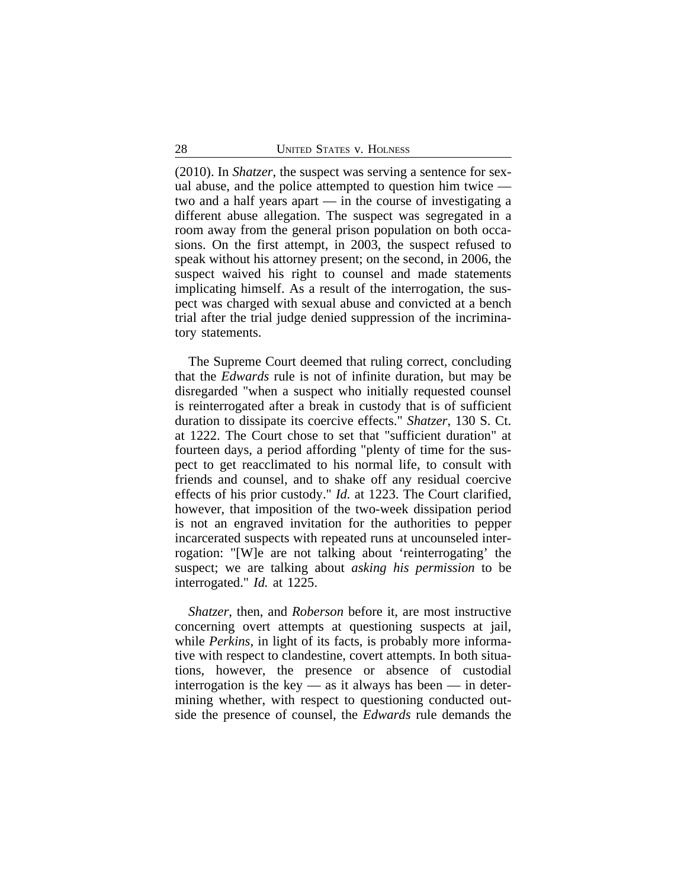(2010). In *Shatzer*, the suspect was serving a sentence for sexual abuse, and the police attempted to question him twice two and a half years apart — in the course of investigating a different abuse allegation. The suspect was segregated in a room away from the general prison population on both occasions. On the first attempt, in 2003, the suspect refused to speak without his attorney present; on the second, in 2006, the suspect waived his right to counsel and made statements implicating himself. As a result of the interrogation, the suspect was charged with sexual abuse and convicted at a bench trial after the trial judge denied suppression of the incriminatory statements.

The Supreme Court deemed that ruling correct, concluding that the *Edwards* rule is not of infinite duration, but may be disregarded "when a suspect who initially requested counsel is reinterrogated after a break in custody that is of sufficient duration to dissipate its coercive effects." *Shatzer*, 130 S. Ct. at 1222. The Court chose to set that "sufficient duration" at fourteen days, a period affording "plenty of time for the suspect to get reacclimated to his normal life, to consult with friends and counsel, and to shake off any residual coercive effects of his prior custody." *Id.* at 1223. The Court clarified, however, that imposition of the two-week dissipation period is not an engraved invitation for the authorities to pepper incarcerated suspects with repeated runs at uncounseled interrogation: "[W]e are not talking about 'reinterrogating' the suspect; we are talking about *asking his permission* to be interrogated." *Id.* at 1225.

*Shatzer*, then, and *Roberson* before it, are most instructive concerning overt attempts at questioning suspects at jail, while *Perkins*, in light of its facts, is probably more informative with respect to clandestine, covert attempts. In both situations, however, the presence or absence of custodial interrogation is the key  $-$  as it always has been  $-$  in determining whether, with respect to questioning conducted outside the presence of counsel, the *Edwards* rule demands the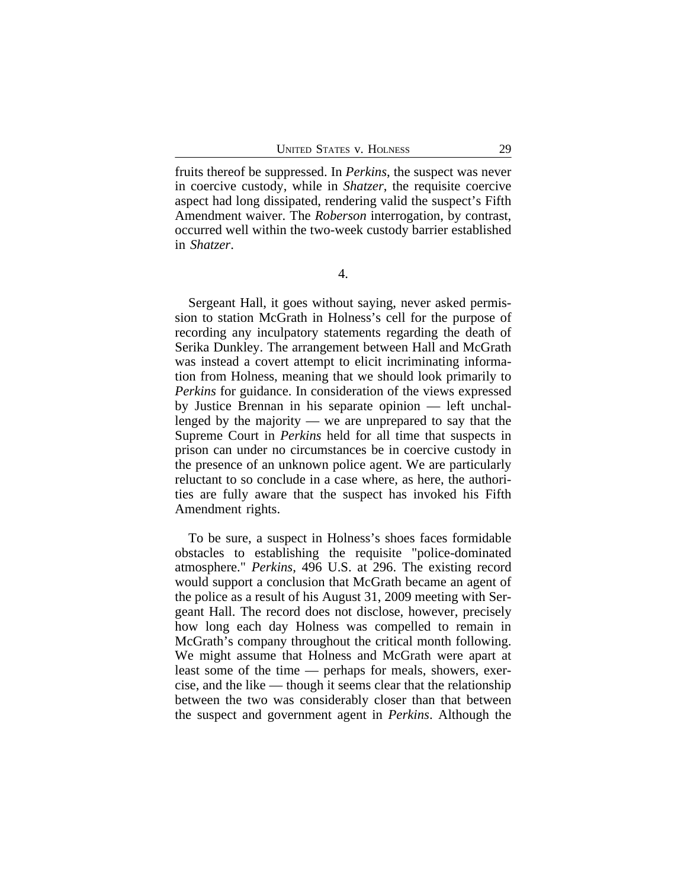fruits thereof be suppressed. In *Perkins*, the suspect was never in coercive custody, while in *Shatzer*, the requisite coercive aspect had long dissipated, rendering valid the suspect's Fifth Amendment waiver. The *Roberson* interrogation, by contrast, occurred well within the two-week custody barrier established in *Shatzer*.

4.

Sergeant Hall, it goes without saying, never asked permission to station McGrath in Holness's cell for the purpose of recording any inculpatory statements regarding the death of Serika Dunkley. The arrangement between Hall and McGrath was instead a covert attempt to elicit incriminating information from Holness, meaning that we should look primarily to *Perkins* for guidance. In consideration of the views expressed by Justice Brennan in his separate opinion — left unchallenged by the majority — we are unprepared to say that the Supreme Court in *Perkins* held for all time that suspects in prison can under no circumstances be in coercive custody in the presence of an unknown police agent. We are particularly reluctant to so conclude in a case where, as here, the authorities are fully aware that the suspect has invoked his Fifth Amendment rights.

To be sure, a suspect in Holness's shoes faces formidable obstacles to establishing the requisite "police-dominated atmosphere." *Perkins*, 496 U.S. at 296. The existing record would support a conclusion that McGrath became an agent of the police as a result of his August 31, 2009 meeting with Sergeant Hall. The record does not disclose, however, precisely how long each day Holness was compelled to remain in McGrath's company throughout the critical month following. We might assume that Holness and McGrath were apart at least some of the time — perhaps for meals, showers, exercise, and the like — though it seems clear that the relationship between the two was considerably closer than that between the suspect and government agent in *Perkins*. Although the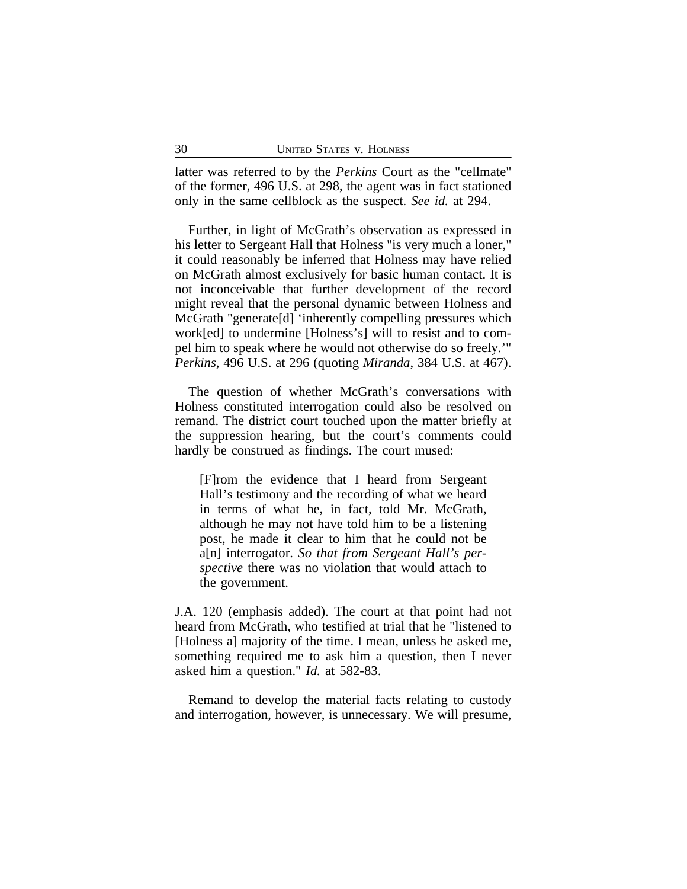latter was referred to by the *Perkins* Court as the "cellmate" of the former, 496 U.S. at 298, the agent was in fact stationed only in the same cellblock as the suspect. *See id.* at 294.

Further, in light of McGrath's observation as expressed in his letter to Sergeant Hall that Holness "is very much a loner," it could reasonably be inferred that Holness may have relied on McGrath almost exclusively for basic human contact. It is not inconceivable that further development of the record might reveal that the personal dynamic between Holness and McGrath "generate[d] 'inherently compelling pressures which work[ed] to undermine [Holness's] will to resist and to compel him to speak where he would not otherwise do so freely.'" *Perkins*, 496 U.S. at 296 (quoting *Miranda*, 384 U.S. at 467).

The question of whether McGrath's conversations with Holness constituted interrogation could also be resolved on remand. The district court touched upon the matter briefly at the suppression hearing, but the court's comments could hardly be construed as findings. The court mused:

[F]rom the evidence that I heard from Sergeant Hall's testimony and the recording of what we heard in terms of what he, in fact, told Mr. McGrath, although he may not have told him to be a listening post, he made it clear to him that he could not be a[n] interrogator. *So that from Sergeant Hall's perspective* there was no violation that would attach to the government.

J.A. 120 (emphasis added). The court at that point had not heard from McGrath, who testified at trial that he "listened to [Holness a] majority of the time. I mean, unless he asked me, something required me to ask him a question, then I never asked him a question." *Id.* at 582-83.

Remand to develop the material facts relating to custody and interrogation, however, is unnecessary. We will presume,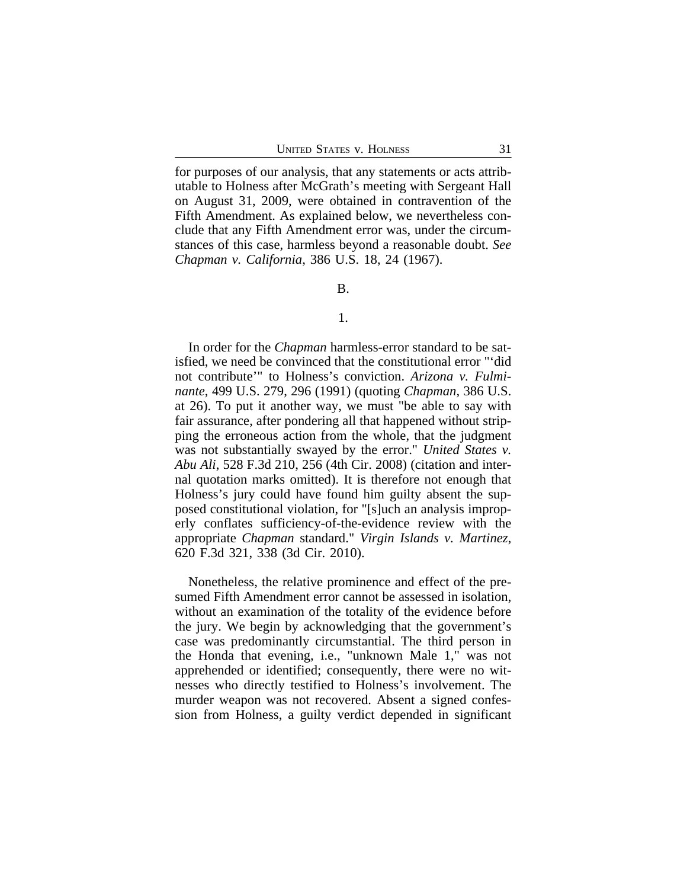for purposes of our analysis, that any statements or acts attributable to Holness after McGrath's meeting with Sergeant Hall on August 31, 2009, were obtained in contravention of the Fifth Amendment. As explained below, we nevertheless conclude that any Fifth Amendment error was, under the circumstances of this case, harmless beyond a reasonable doubt. *See Chapman v. California*, 386 U.S. 18, 24 (1967).

#### B.

### 1.

In order for the *Chapman* harmless-error standard to be satisfied, we need be convinced that the constitutional error "'did not contribute'" to Holness's conviction. *Arizona v. Fulminante*, 499 U.S. 279, 296 (1991) (quoting *Chapman*, 386 U.S. at 26). To put it another way, we must "be able to say with fair assurance, after pondering all that happened without stripping the erroneous action from the whole, that the judgment was not substantially swayed by the error." *United States v. Abu Ali*, 528 F.3d 210, 256 (4th Cir. 2008) (citation and internal quotation marks omitted). It is therefore not enough that Holness's jury could have found him guilty absent the supposed constitutional violation, for "[s]uch an analysis improperly conflates sufficiency-of-the-evidence review with the appropriate *Chapman* standard." *Virgin Islands v. Martinez*, 620 F.3d 321, 338 (3d Cir. 2010).

Nonetheless, the relative prominence and effect of the presumed Fifth Amendment error cannot be assessed in isolation, without an examination of the totality of the evidence before the jury. We begin by acknowledging that the government's case was predominantly circumstantial. The third person in the Honda that evening, i.e., "unknown Male 1," was not apprehended or identified; consequently, there were no witnesses who directly testified to Holness's involvement. The murder weapon was not recovered. Absent a signed confession from Holness, a guilty verdict depended in significant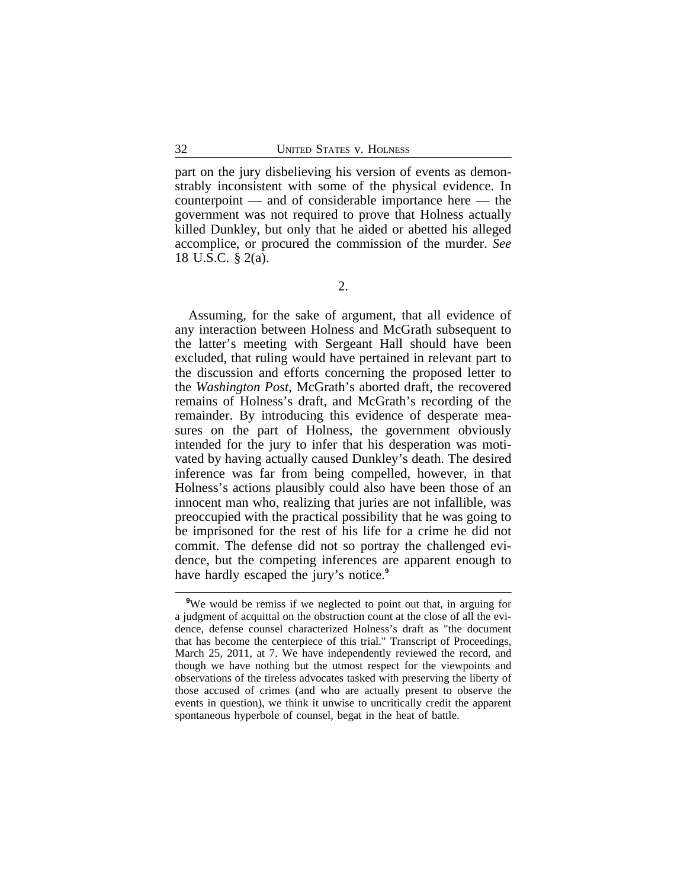part on the jury disbelieving his version of events as demonstrably inconsistent with some of the physical evidence. In counterpoint — and of considerable importance here — the government was not required to prove that Holness actually killed Dunkley, but only that he aided or abetted his alleged accomplice, or procured the commission of the murder. *See* 18 U.S.C. § 2(a).

Assuming, for the sake of argument, that all evidence of any interaction between Holness and McGrath subsequent to the latter's meeting with Sergeant Hall should have been excluded, that ruling would have pertained in relevant part to the discussion and efforts concerning the proposed letter to the *Washington Post*, McGrath's aborted draft, the recovered remains of Holness's draft, and McGrath's recording of the remainder. By introducing this evidence of desperate measures on the part of Holness, the government obviously intended for the jury to infer that his desperation was motivated by having actually caused Dunkley's death. The desired inference was far from being compelled, however, in that Holness's actions plausibly could also have been those of an innocent man who, realizing that juries are not infallible, was preoccupied with the practical possibility that he was going to be imprisoned for the rest of his life for a crime he did not commit. The defense did not so portray the challenged evidence, but the competing inferences are apparent enough to have hardly escaped the jury's notice.**<sup>9</sup>**

**<sup>9</sup>**We would be remiss if we neglected to point out that, in arguing for a judgment of acquittal on the obstruction count at the close of all the evidence, defense counsel characterized Holness's draft as "the document that has become the centerpiece of this trial." Transcript of Proceedings, March 25, 2011, at 7. We have independently reviewed the record, and though we have nothing but the utmost respect for the viewpoints and observations of the tireless advocates tasked with preserving the liberty of those accused of crimes (and who are actually present to observe the events in question), we think it unwise to uncritically credit the apparent spontaneous hyperbole of counsel, begat in the heat of battle.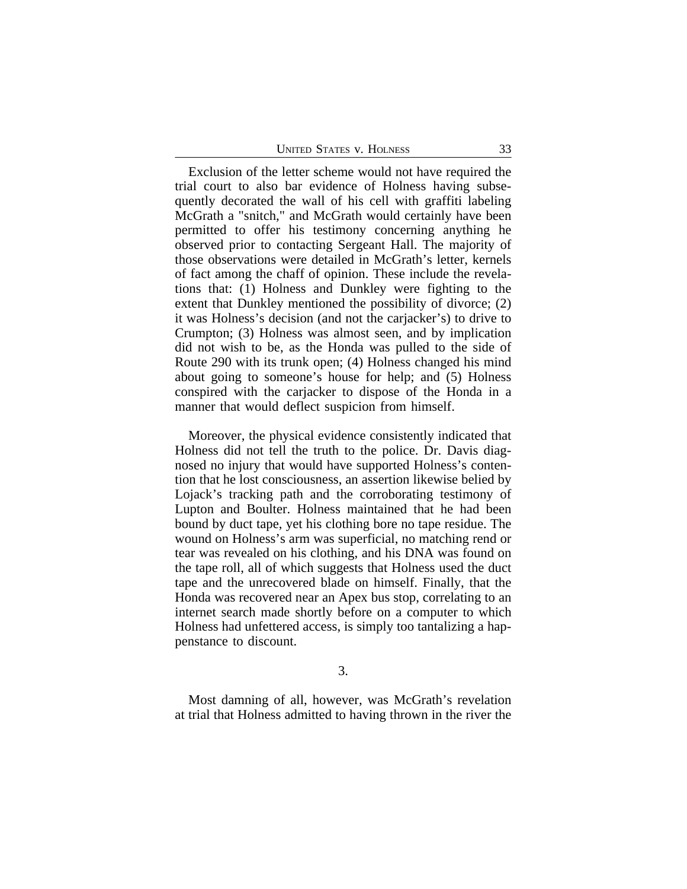| <b>UNITED STATES V. HOLNESS</b> |  |
|---------------------------------|--|
|---------------------------------|--|

Exclusion of the letter scheme would not have required the trial court to also bar evidence of Holness having subsequently decorated the wall of his cell with graffiti labeling McGrath a "snitch," and McGrath would certainly have been permitted to offer his testimony concerning anything he observed prior to contacting Sergeant Hall. The majority of those observations were detailed in McGrath's letter, kernels of fact among the chaff of opinion. These include the revelations that: (1) Holness and Dunkley were fighting to the extent that Dunkley mentioned the possibility of divorce; (2) it was Holness's decision (and not the carjacker's) to drive to Crumpton; (3) Holness was almost seen, and by implication did not wish to be, as the Honda was pulled to the side of Route 290 with its trunk open; (4) Holness changed his mind about going to someone's house for help; and (5) Holness conspired with the carjacker to dispose of the Honda in a manner that would deflect suspicion from himself.

Moreover, the physical evidence consistently indicated that Holness did not tell the truth to the police. Dr. Davis diagnosed no injury that would have supported Holness's contention that he lost consciousness, an assertion likewise belied by Lojack's tracking path and the corroborating testimony of Lupton and Boulter. Holness maintained that he had been bound by duct tape, yet his clothing bore no tape residue. The wound on Holness's arm was superficial, no matching rend or tear was revealed on his clothing, and his DNA was found on the tape roll, all of which suggests that Holness used the duct tape and the unrecovered blade on himself. Finally, that the Honda was recovered near an Apex bus stop, correlating to an internet search made shortly before on a computer to which Holness had unfettered access, is simply too tantalizing a happenstance to discount.

3.

Most damning of all, however, was McGrath's revelation at trial that Holness admitted to having thrown in the river the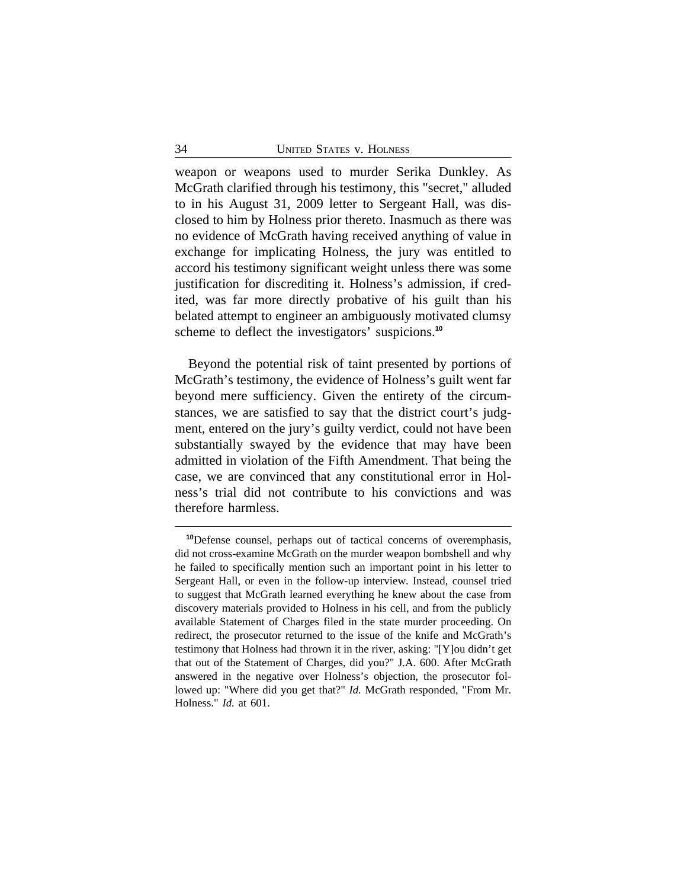weapon or weapons used to murder Serika Dunkley. As McGrath clarified through his testimony, this "secret," alluded to in his August 31, 2009 letter to Sergeant Hall, was disclosed to him by Holness prior thereto. Inasmuch as there was no evidence of McGrath having received anything of value in exchange for implicating Holness, the jury was entitled to accord his testimony significant weight unless there was some justification for discrediting it. Holness's admission, if credited, was far more directly probative of his guilt than his belated attempt to engineer an ambiguously motivated clumsy scheme to deflect the investigators' suspicions.**<sup>10</sup>**

Beyond the potential risk of taint presented by portions of McGrath's testimony, the evidence of Holness's guilt went far beyond mere sufficiency. Given the entirety of the circumstances, we are satisfied to say that the district court's judgment, entered on the jury's guilty verdict, could not have been substantially swayed by the evidence that may have been admitted in violation of the Fifth Amendment. That being the case, we are convinced that any constitutional error in Holness's trial did not contribute to his convictions and was therefore harmless.

**<sup>10</sup>**Defense counsel, perhaps out of tactical concerns of overemphasis, did not cross-examine McGrath on the murder weapon bombshell and why he failed to specifically mention such an important point in his letter to Sergeant Hall, or even in the follow-up interview. Instead, counsel tried to suggest that McGrath learned everything he knew about the case from discovery materials provided to Holness in his cell, and from the publicly available Statement of Charges filed in the state murder proceeding. On redirect, the prosecutor returned to the issue of the knife and McGrath's testimony that Holness had thrown it in the river, asking: "[Y]ou didn't get that out of the Statement of Charges, did you?" J.A. 600. After McGrath answered in the negative over Holness's objection, the prosecutor followed up: "Where did you get that?" *Id.* McGrath responded, "From Mr. Holness." *Id.* at 601.